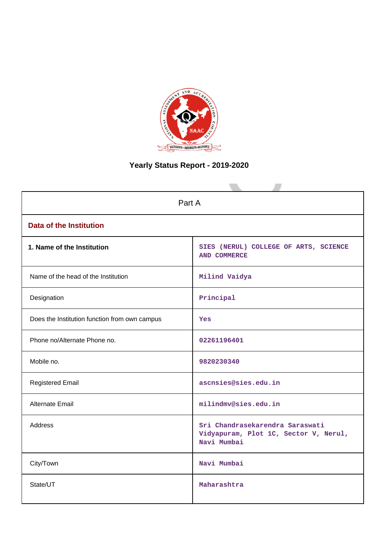

# **Yearly Status Report - 2019-2020**

| Part A                                        |                                                                                         |  |  |
|-----------------------------------------------|-----------------------------------------------------------------------------------------|--|--|
| <b>Data of the Institution</b>                |                                                                                         |  |  |
| 1. Name of the Institution                    | SIES (NERUL) COLLEGE OF ARTS, SCIENCE<br><b>AND COMMERCE</b>                            |  |  |
| Name of the head of the Institution           | Milind Vaidya                                                                           |  |  |
| Designation                                   | Principal                                                                               |  |  |
| Does the Institution function from own campus | Yes                                                                                     |  |  |
| Phone no/Alternate Phone no.                  | 02261196401                                                                             |  |  |
| Mobile no.                                    | 9820230340                                                                              |  |  |
| <b>Registered Email</b>                       | ascnsies@sies.edu.in                                                                    |  |  |
| <b>Alternate Email</b>                        | milindmv@sies.edu.in                                                                    |  |  |
| <b>Address</b>                                | Sri Chandrasekarendra Saraswati<br>Vidyapuram, Plot 1C, Sector V, Nerul,<br>Navi Mumbai |  |  |
| City/Town                                     | Navi Mumbai                                                                             |  |  |
| State/UT                                      | Maharashtra                                                                             |  |  |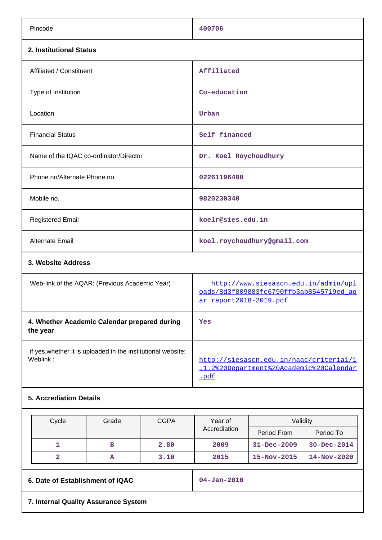| Pincode                                                                  | 400706                                                                                                    |
|--------------------------------------------------------------------------|-----------------------------------------------------------------------------------------------------------|
| 2. Institutional Status                                                  |                                                                                                           |
| Affiliated / Constituent                                                 | Affiliated                                                                                                |
| Type of Institution                                                      | Co-education                                                                                              |
| Location                                                                 | Urban                                                                                                     |
| <b>Financial Status</b>                                                  | Self financed                                                                                             |
| Name of the IQAC co-ordinator/Director                                   | Dr. Koel Roychoudhury                                                                                     |
| Phone no/Alternate Phone no.                                             | 02261196408                                                                                               |
| Mobile no.                                                               | 9820230340                                                                                                |
| <b>Registered Email</b>                                                  | koelr@sies.edu.in                                                                                         |
| <b>Alternate Email</b>                                                   | koel.roychoudhury@gmail.com                                                                               |
| 3. Website Address                                                       |                                                                                                           |
| Web-link of the AQAR: (Previous Academic Year)                           | http://www.siesascn.edu.in/admin/upl<br>pads/8d3f809883fc6790ffb3ab8545719ed ag<br>ar report2018-2019.pdf |
| 4. Whether Academic Calendar prepared during<br>the year                 | Yes                                                                                                       |
| if yes, whether it is uploaded in the institutional website:<br>Weblink: | http://siesascn.edu.in/naac/criterial/1<br>.1.2%20Department%20Academic%20Calendar<br>.pdf                |
|                                                                          |                                                                                                           |

## **5. Accrediation Details**

|                                      | Cycle | Grade             | <b>CGPA</b> | Year of      | Validity          |                   |
|--------------------------------------|-------|-------------------|-------------|--------------|-------------------|-------------------|
|                                      |       |                   |             | Accrediation | Period From       | Period To         |
|                                      |       | в                 | 2.80        | 2009         | $31 - Dec - 2009$ | $30 - Dec - 2014$ |
|                                      | 2     | A                 | 3.10        | 2015         | $15 - Nov - 2015$ | $14 - Nov - 2020$ |
| 6. Date of Establishment of IQAC     |       | $04 - Jan - 2010$ |             |              |                   |                   |
| 7. Internal Quality Assurance System |       |                   |             |              |                   |                   |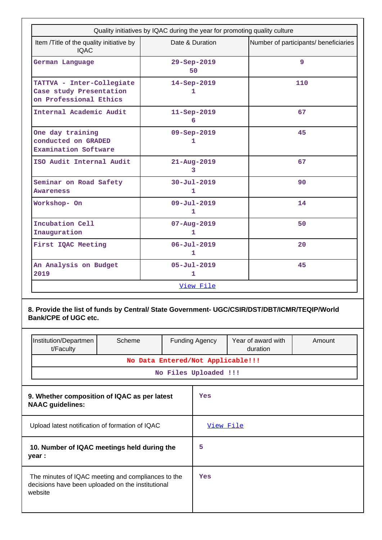|                                                                                | Quality initiatives by IQAC during the year for promoting quality culture |                                       |
|--------------------------------------------------------------------------------|---------------------------------------------------------------------------|---------------------------------------|
| Item /Title of the quality initiative by<br><b>IOAC</b>                        | Date & Duration                                                           | Number of participants/ beneficiaries |
| German Language                                                                | 29-Sep-2019<br>50                                                         | 9                                     |
| TATTVA - Inter-Collegiate<br>Case study Presentation<br>on Professional Ethics | 14-Sep-2019<br>1                                                          | 110                                   |
| Internal Academic Audit                                                        | $11 - \text{Sep} - 2019$<br>6                                             | 67                                    |
| One day training<br>conducted on GRADED<br>Examination Software                | $09 - Sep - 2019$<br>1                                                    | 45                                    |
| ISO Audit Internal Audit                                                       | $21 - Aug - 2019$<br>3                                                    | 67                                    |
| Seminar on Road Safety<br><b>Awareness</b>                                     | $30 - Ju1 - 2019$<br>$\mathbf{1}$                                         | 90                                    |
| Workshop- On                                                                   | $09 - Jul - 2019$<br>1                                                    | 14                                    |
| Incubation Cell<br>Inauguration                                                | $07 - Aug - 2019$<br>$\mathbf{1}$                                         | 50                                    |
| First IQAC Meeting                                                             | $06 - Jul - 2019$<br>$\mathbf{1}$                                         | 20                                    |
| An Analysis on Budget<br>2019                                                  | $05 - Ju1 - 2019$<br>1                                                    | 45                                    |
|                                                                                | View File                                                                 |                                       |

**8. Provide the list of funds by Central/ State Government- UGC/CSIR/DST/DBT/ICMR/TEQIP/World Bank/CPE of UGC etc.**

| Institution/Departmen<br>t/Faculty                                                                                 | Scheme                            |           | <b>Funding Agency</b> | Year of award with<br>duration | Amount |
|--------------------------------------------------------------------------------------------------------------------|-----------------------------------|-----------|-----------------------|--------------------------------|--------|
|                                                                                                                    | No Data Entered/Not Applicable!!! |           |                       |                                |        |
|                                                                                                                    |                                   |           | No Files Uploaded !!! |                                |        |
|                                                                                                                    |                                   |           |                       |                                |        |
| 9. Whether composition of IQAC as per latest<br><b>NAAC</b> guidelines:                                            |                                   |           | Yes                   |                                |        |
| Upload latest notification of formation of IQAC                                                                    |                                   | View File |                       |                                |        |
| 10. Number of IQAC meetings held during the<br>year :                                                              |                                   | 5         |                       |                                |        |
| The minutes of IQAC meeting and compliances to the<br>decisions have been uploaded on the institutional<br>website |                                   | Yes       |                       |                                |        |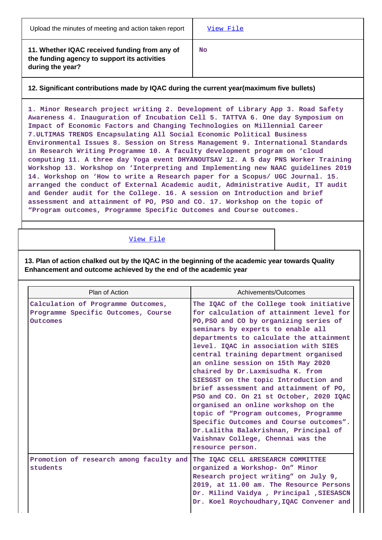**11. Whether IQAC received funding from any of the funding agency to support its activities during the year?**

**No**

## **12. Significant contributions made by IQAC during the current year(maximum five bullets)**

**1. Minor Research project writing 2. Development of Library App 3. Road Safety Awareness 4. Inauguration of Incubation Cell 5. TATTVA 6. One day Symposium on Impact of Economic Factors and Changing Technologies on Millennial Career 7.ULTIMAS TRENDS Encapsulating All Social Economic Political Business Environmental Issues 8. Session on Stress Management 9. International Standards in Research Writing Programme 10. A faculty development program on 'cloud computing 11. A three day Yoga event DHYANOUTSAV 12. A 5 day PNS Worker Training Workshop 13. Workshop on 'Interpreting and Implementing new NAAC guidelines 2019 14. Workshop on 'How to write a Research paper for a Scopus/ UGC Journal. 15. arranged the conduct of External Academic audit, Administrative Audit, IT audit and Gender audit for the College. 16. A session on Introduction and brief assessment and attainment of PO, PSO and CO. 17. Workshop on the topic of "Program outcomes, Programme Specific Outcomes and Course outcomes.**

## [View File](https://assessmentonline.naac.gov.in/public/Postacc/Contribution/9924_Contribution.xlsx)

**13. Plan of action chalked out by the IQAC in the beginning of the academic year towards Quality Enhancement and outcome achieved by the end of the academic year**

| Plan of Action                                                                        | Achivements/Outcomes                                                                                                                                                                                                                                                                                                                                                                                                                                                                                                                                                                                                                                                                                                               |
|---------------------------------------------------------------------------------------|------------------------------------------------------------------------------------------------------------------------------------------------------------------------------------------------------------------------------------------------------------------------------------------------------------------------------------------------------------------------------------------------------------------------------------------------------------------------------------------------------------------------------------------------------------------------------------------------------------------------------------------------------------------------------------------------------------------------------------|
| Calculation of Programme Outcomes,<br>Programme Specific Outcomes, Course<br>Outcomes | The IQAC of the College took initiative<br>for calculation of attainment level for<br>PO, PSO and CO by organizing series of<br>seminars by experts to enable all<br>departments to calculate the attainment<br>level. IQAC in association with SIES<br>central training department organised<br>an online session on 15th May 2020<br>chaired by Dr.Laxmisudha K. from<br>SIESGST on the topic Introduction and<br>brief assessment and attainment of PO,<br>PSO and CO. On 21 st October, 2020 IQAC<br>organised an online workshop on the<br>topic of "Program outcomes, Programme<br>Specific Outcomes and Course outcomes".<br>Dr.Lalitha Balakrishnan, Principal of<br>Vaishnav College, Chennai was the<br>resource person. |
| Promotion of research among faculty and<br>students                                   | The IQAC CELL &RESEARCH COMMITTEE<br>organized a Workshop- On" Minor<br>Research project writing" on July 9,<br>2019, at 11.00 am. The Resource Persons<br>Dr. Milind Vaidya, Principal, SIESASCN<br>Dr. Koel Roychoudhary, IQAC Convener and                                                                                                                                                                                                                                                                                                                                                                                                                                                                                      |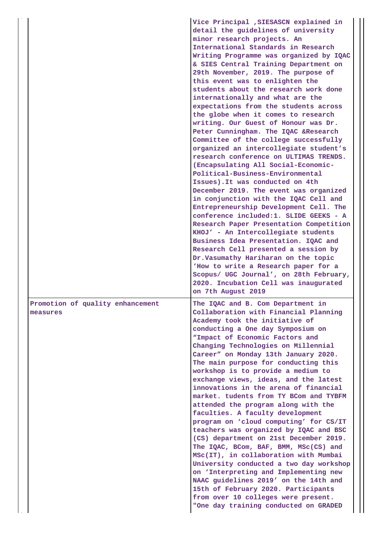|                                              | Vice Principal , SIESASCN explained in<br>detail the guidelines of university<br>minor research projects. An<br>International Standards in Research<br>Writing Programme was organized by IQAC<br>& SIES Central Training Department on<br>29th November, 2019. The purpose of<br>this event was to enlighten the<br>students about the research work done<br>internationally and what are the<br>expectations from the students across<br>the globe when it comes to research<br>writing. Our Guest of Honour was Dr.<br>Peter Cunningham. The IQAC &Research<br>Committee of the college successfully<br>organized an intercollegiate student's<br>research conference on ULTIMAS TRENDS.<br>(Encapsulating All Social-Economic-<br>Political-Business-Environmental<br>Issues). It was conducted on 4th<br>December 2019. The event was organized<br>in conjunction with the IQAC Cell and<br>Entrepreneurship Development Cell. The<br>conference included:1. SLIDE GEEKS - A<br>Research Paper Presentation Competition<br>KHOJ' - An Intercollegiate students<br>Business Idea Presentation. IQAC and<br>Research Cell presented a session by<br>Dr.Vasumathy Hariharan on the topic<br>'How to write a Research paper for a<br>Scopus/ UGC Journal', on 28th February,<br>2020. Incubation Cell was inaugurated<br>on 7th August 2019 |
|----------------------------------------------|----------------------------------------------------------------------------------------------------------------------------------------------------------------------------------------------------------------------------------------------------------------------------------------------------------------------------------------------------------------------------------------------------------------------------------------------------------------------------------------------------------------------------------------------------------------------------------------------------------------------------------------------------------------------------------------------------------------------------------------------------------------------------------------------------------------------------------------------------------------------------------------------------------------------------------------------------------------------------------------------------------------------------------------------------------------------------------------------------------------------------------------------------------------------------------------------------------------------------------------------------------------------------------------------------------------------------------------------|
| Promotion of quality enhancement<br>measures | The IQAC and B. Com Department in<br>Collaboration with Financial Planning<br>Academy took the initiative of<br>conducting a One day Symposium on<br>"Impact of Economic Factors and<br>Changing Technologies on Millennial<br>Career" on Monday 13th January 2020.<br>The main purpose for conducting this<br>workshop is to provide a medium to<br>exchange views, ideas, and the latest<br>innovations in the arena of financial<br>market. tudents from TY BCom and TYBFM<br>attended the program along with the<br>faculties. A faculty development<br>program on 'cloud computing' for CS/IT<br>teachers was organized by IQAC and BSC<br>(CS) department on 21st December 2019.<br>The IQAC, BCom, BAF, BMM, MSc(CS) and<br>MSc(IT), in collaboration with Mumbai<br>University conducted a two day workshop<br>on 'Interpreting and Implementing new<br>NAAC guidelines 2019' on the 14th and<br>15th of February 2020. Participants<br>from over 10 colleges were present.<br>"One day training conducted on GRADED                                                                                                                                                                                                                                                                                                                 |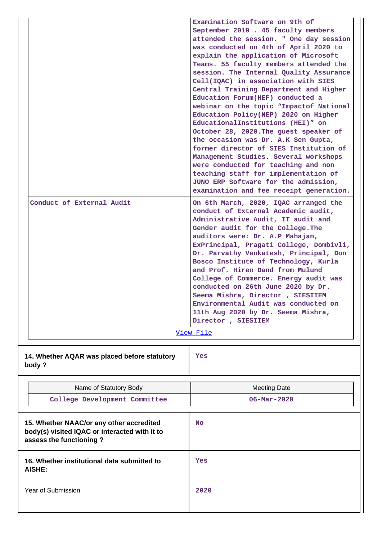| Conduct of External Audit                                                                                            | Examination Software on 9th of<br>September 2019 . 45 faculty members<br>attended the session. " One day session<br>was conducted on 4th of April 2020 to<br>explain the application of Microsoft<br>Teams. 55 faculty members attended the<br>session. The Internal Quality Assurance<br>Cell(IQAC) in association with SIES<br>Central Training Department and Higher<br>Education Forum (HEF) conducted a<br>webinar on the topic "Impactof National<br>Education Policy(NEP) 2020 on Higher<br>EducationalInstitutions (HEI)" on<br>October 28, 2020. The guest speaker of<br>the occasion was Dr. A.K Sen Gupta,<br>former director of SIES Institution of<br>Management Studies. Several workshops<br>were conducted for teaching and non<br>teaching staff for implementation of<br>JUNO ERP Software for the admission,<br>examination and fee receipt generation.<br>On 6th March, 2020, IQAC arranged the<br>conduct of External Academic audit,<br>Administrative Audit, IT audit and<br>Gender audit for the College. The<br>auditors were: Dr. A.P Mahajan,<br>ExPrincipal, Pragati College, Dombivli,<br>Dr. Parvathy Venkatesh, Principal, Don<br>Bosco Institute of Technology, Kurla<br>and Prof. Hiren Dand from Mulund<br>College of Commerce. Energy audit was<br>conducted on 26th June 2020 by Dr.<br>Seema Mishra, Director, SIESIIEM<br>Environmental Audit was conducted on<br>11th Aug 2020 by Dr. Seema Mishra,<br>Director, SIESIIEM<br>View File |
|----------------------------------------------------------------------------------------------------------------------|-------------------------------------------------------------------------------------------------------------------------------------------------------------------------------------------------------------------------------------------------------------------------------------------------------------------------------------------------------------------------------------------------------------------------------------------------------------------------------------------------------------------------------------------------------------------------------------------------------------------------------------------------------------------------------------------------------------------------------------------------------------------------------------------------------------------------------------------------------------------------------------------------------------------------------------------------------------------------------------------------------------------------------------------------------------------------------------------------------------------------------------------------------------------------------------------------------------------------------------------------------------------------------------------------------------------------------------------------------------------------------------------------------------------------------------------------------------------------------|
| 14. Whether AQAR was placed before statutory<br>body?                                                                | Yes                                                                                                                                                                                                                                                                                                                                                                                                                                                                                                                                                                                                                                                                                                                                                                                                                                                                                                                                                                                                                                                                                                                                                                                                                                                                                                                                                                                                                                                                           |
| Name of Statutory Body                                                                                               | <b>Meeting Date</b>                                                                                                                                                                                                                                                                                                                                                                                                                                                                                                                                                                                                                                                                                                                                                                                                                                                                                                                                                                                                                                                                                                                                                                                                                                                                                                                                                                                                                                                           |
| College Development Committee                                                                                        | $06 - \text{Mar} - 2020$                                                                                                                                                                                                                                                                                                                                                                                                                                                                                                                                                                                                                                                                                                                                                                                                                                                                                                                                                                                                                                                                                                                                                                                                                                                                                                                                                                                                                                                      |
|                                                                                                                      |                                                                                                                                                                                                                                                                                                                                                                                                                                                                                                                                                                                                                                                                                                                                                                                                                                                                                                                                                                                                                                                                                                                                                                                                                                                                                                                                                                                                                                                                               |
| 15. Whether NAAC/or any other accredited<br>body(s) visited IQAC or interacted with it to<br>assess the functioning? | <b>No</b>                                                                                                                                                                                                                                                                                                                                                                                                                                                                                                                                                                                                                                                                                                                                                                                                                                                                                                                                                                                                                                                                                                                                                                                                                                                                                                                                                                                                                                                                     |
| 16. Whether institutional data submitted to<br>AISHE:                                                                | Yes                                                                                                                                                                                                                                                                                                                                                                                                                                                                                                                                                                                                                                                                                                                                                                                                                                                                                                                                                                                                                                                                                                                                                                                                                                                                                                                                                                                                                                                                           |
| Year of Submission                                                                                                   | 2020                                                                                                                                                                                                                                                                                                                                                                                                                                                                                                                                                                                                                                                                                                                                                                                                                                                                                                                                                                                                                                                                                                                                                                                                                                                                                                                                                                                                                                                                          |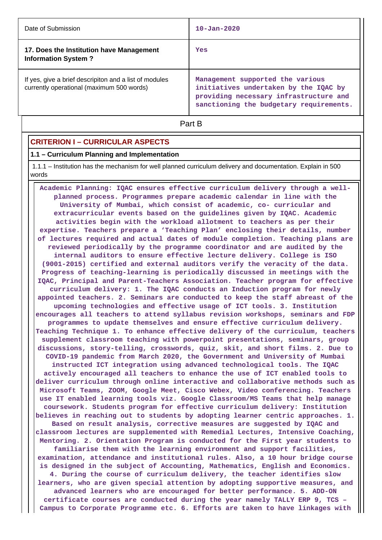| Date of Submission                                                                                  | $10 - Jan - 2020$                                                                                                                                              |
|-----------------------------------------------------------------------------------------------------|----------------------------------------------------------------------------------------------------------------------------------------------------------------|
| 17. Does the Institution have Management<br><b>Information System?</b>                              | Yes                                                                                                                                                            |
| If yes, give a brief descripiton and a list of modules<br>currently operational (maximum 500 words) | Management supported the various<br>initiatives undertaken by the IQAC by<br>providing necessary infrastructure and<br>sanctioning the budgetary requirements. |

**Part B** 

## **CRITERION I – CURRICULAR ASPECTS**

#### **1.1 – Curriculum Planning and Implementation**

 1.1.1 – Institution has the mechanism for well planned curriculum delivery and documentation. Explain in 500 words

 **Academic Planning: IQAC ensures effective curriculum delivery through a wellplanned process. Programmes prepare academic calendar in line with the University of Mumbai, which consist of academic, co- curricular and extracurricular events based on the guidelines given by IQAC. Academic activities begin with the workload allotment to teachers as per their expertise. Teachers prepare a 'Teaching Plan' enclosing their details, number of lectures required and actual dates of module completion. Teaching plans are reviewed periodically by the programme coordinator and are audited by the internal auditors to ensure effective lecture delivery. College is ISO (9001-2015) certified and external auditors verify the veracity of the data. Progress of teaching-learning is periodically discussed in meetings with the IQAC, Principal and Parent-Teachers Association. Teacher program for effective curriculum delivery: 1. The IQAC conducts an Induction program for newly appointed teachers. 2. Seminars are conducted to keep the staff abreast of the upcoming technologies and effective usage of ICT tools. 3. Institution encourages all teachers to attend syllabus revision workshops, seminars and FDP programmes to update themselves and ensure effective curriculum delivery. Teaching Technique 1. To enhance effective delivery of the curriculum, teachers supplement classroom teaching with powerpoint presentations, seminars, group discussions, story-telling, crosswords, quiz, skit, and short films. 2. Due to COVID-19 pandemic from March 2020, the Government and University of Mumbai instructed ICT integration using advanced technological tools. The IQAC actively encouraged all teachers to enhance the use of ICT enabled tools to deliver curriculum through online interactive and collaborative methods such as Microsoft Teams, ZOOM, Google Meet, Cisco Webex, Video conferencing. Teachers use IT enabled learning tools viz. Google Classroom/MS Teams that help manage coursework. Students program for effective curriculum delivery: Institution believes in reaching out to students by adopting learner centric approaches. 1. Based on result analysis, corrective measures are suggested by IQAC and classroom lectures are supplemented with Remedial Lectures, Intensive Coaching, Mentoring. 2. Orientation Program is conducted for the First year students to familiarise them with the learning environment and support facilities, examination, attendance and institutional rules. Also, a 10 hour bridge course is designed in the subject of Accounting, Mathematics, English and Economics. 4. During the course of curriculum delivery, the teacher identifies slow learners, who are given special attention by adopting supportive measures, and advanced learners who are encouraged for better performance. 5. ADD-ON certificate courses are conducted during the year namely TALLY ERP 9, TCS – Campus to Corporate Programme etc. 6. Efforts are taken to have linkages with**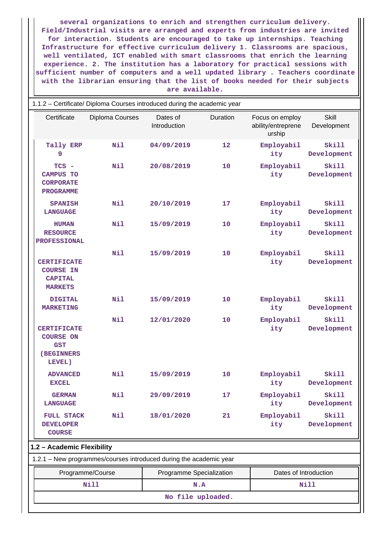**several organizations to enrich and strengthen curriculum delivery. Field/Industrial visits are arranged and experts from industries are invited for interaction. Students are encouraged to take up internships. Teaching Infrastructure for effective curriculum delivery 1. Classrooms are spacious, well ventilated, ICT enabled with smart classrooms that enrich the learning experience. 2. The institution has a laboratory for practical sessions with sufficient number of computers and a well updated library . Teachers coordinate with the librarian ensuring that the list of books needed for their subjects are available.**

| 1.1.2 - Certificate/ Diploma Courses introduced during the academic year     |                                                                    |                          |          |                                                 |                             |  |
|------------------------------------------------------------------------------|--------------------------------------------------------------------|--------------------------|----------|-------------------------------------------------|-----------------------------|--|
| Certificate                                                                  | Diploma Courses                                                    | Dates of<br>Introduction | Duration | Focus on employ<br>ability/entreprene<br>urship | Skill<br>Development        |  |
| Tally ERP<br>9                                                               | <b>Nil</b>                                                         | 04/09/2019               | 12       | Employabil<br>ity                               | Skill<br>Development        |  |
| TCS -<br><b>CAMPUS TO</b><br><b>CORPORATE</b><br><b>PROGRAMME</b>            | Nil                                                                | 20/08/2019               | 10       | Employabil<br>ity                               | Skill<br>Development        |  |
| <b>SPANISH</b><br><b>LANGUAGE</b>                                            | Nil                                                                | 20/10/2019               | 17       | Employabil<br>ity                               | Skill<br>Development        |  |
| <b>HUMAN</b><br><b>RESOURCE</b><br><b>PROFESSIONAL</b>                       | Nil                                                                | 15/09/2019               | 10       | Employabil<br>ity                               | <b>Skill</b><br>Development |  |
| <b>CERTIFICATE</b><br><b>COURSE IN</b><br><b>CAPITAL</b><br><b>MARKETS</b>   | Nil                                                                | 15/09/2019               | 10       | Employabil<br>ity                               | Skill<br>Development        |  |
| <b>DIGITAL</b><br><b>MARKETING</b>                                           | Nil                                                                | 15/09/2019               | 10       | Employabil<br>ity                               | Skill<br>Development        |  |
| <b>CERTIFICATE</b><br><b>COURSE ON</b><br><b>GST</b><br>(BEGINNERS<br>LEVEL) | Nil                                                                | 12/01/2020               | 10       | Employabil<br>ity                               | Skill<br>Development        |  |
| <b>ADVANCED</b><br><b>EXCEL</b>                                              | Nil                                                                | 15/09/2019               | 10       | Employabil<br>ity                               | Skill<br>Development        |  |
| <b>GERMAN</b><br><b>LANGUAGE</b>                                             | Nil                                                                | 29/09/2019               | 17       | Employabil<br>ity                               | <b>Skill</b><br>Development |  |
| <b>FULL STACK</b><br><b>DEVELOPER</b><br><b>COURSE</b>                       | <b>Nil</b>                                                         | 18/01/2020               | 21       | Employabil<br>ity                               | Skill<br>Development        |  |
| 1.2 - Academic Flexibility                                                   |                                                                    |                          |          |                                                 |                             |  |
|                                                                              | 1.2.1 - New programmes/courses introduced during the academic year |                          |          |                                                 |                             |  |
|                                                                              | Programme/Course                                                   | Programme Specialization |          | Dates of Introduction                           |                             |  |
|                                                                              | <b>Nill</b>                                                        |                          | N.A      |                                                 | Nill                        |  |
|                                                                              | No file uploaded.                                                  |                          |          |                                                 |                             |  |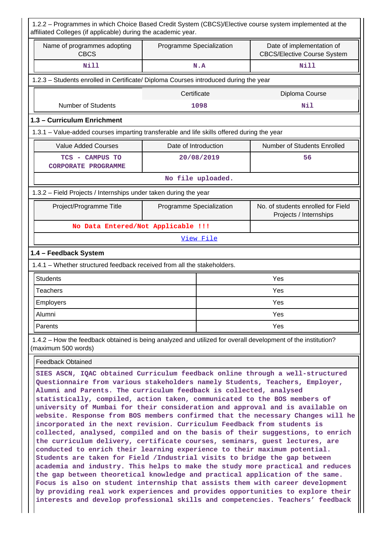| 1.2.2 - Programmes in which Choice Based Credit System (CBCS)/Elective course system implemented at the<br>affiliated Colleges (if applicable) during the academic year.                                                                                                                                                                                                                                                                                                                                                                                                                                                                                                                                                                                                                                                                                                                                                                                                                                                                                                                                                                                                                                                                                                                                          |                          |                   |                                                                 |  |  |
|-------------------------------------------------------------------------------------------------------------------------------------------------------------------------------------------------------------------------------------------------------------------------------------------------------------------------------------------------------------------------------------------------------------------------------------------------------------------------------------------------------------------------------------------------------------------------------------------------------------------------------------------------------------------------------------------------------------------------------------------------------------------------------------------------------------------------------------------------------------------------------------------------------------------------------------------------------------------------------------------------------------------------------------------------------------------------------------------------------------------------------------------------------------------------------------------------------------------------------------------------------------------------------------------------------------------|--------------------------|-------------------|-----------------------------------------------------------------|--|--|
| Name of programmes adopting<br><b>CBCS</b>                                                                                                                                                                                                                                                                                                                                                                                                                                                                                                                                                                                                                                                                                                                                                                                                                                                                                                                                                                                                                                                                                                                                                                                                                                                                        | Programme Specialization |                   | Date of implementation of<br><b>CBCS/Elective Course System</b> |  |  |
| <b>Nill</b>                                                                                                                                                                                                                                                                                                                                                                                                                                                                                                                                                                                                                                                                                                                                                                                                                                                                                                                                                                                                                                                                                                                                                                                                                                                                                                       |                          | N.A               | <b>Nill</b>                                                     |  |  |
| 1.2.3 - Students enrolled in Certificate/ Diploma Courses introduced during the year                                                                                                                                                                                                                                                                                                                                                                                                                                                                                                                                                                                                                                                                                                                                                                                                                                                                                                                                                                                                                                                                                                                                                                                                                              |                          |                   |                                                                 |  |  |
|                                                                                                                                                                                                                                                                                                                                                                                                                                                                                                                                                                                                                                                                                                                                                                                                                                                                                                                                                                                                                                                                                                                                                                                                                                                                                                                   | Certificate              |                   | Diploma Course                                                  |  |  |
| <b>Number of Students</b>                                                                                                                                                                                                                                                                                                                                                                                                                                                                                                                                                                                                                                                                                                                                                                                                                                                                                                                                                                                                                                                                                                                                                                                                                                                                                         |                          | 1098              | Nil                                                             |  |  |
| 1.3 - Curriculum Enrichment                                                                                                                                                                                                                                                                                                                                                                                                                                                                                                                                                                                                                                                                                                                                                                                                                                                                                                                                                                                                                                                                                                                                                                                                                                                                                       |                          |                   |                                                                 |  |  |
| 1.3.1 – Value-added courses imparting transferable and life skills offered during the year                                                                                                                                                                                                                                                                                                                                                                                                                                                                                                                                                                                                                                                                                                                                                                                                                                                                                                                                                                                                                                                                                                                                                                                                                        |                          |                   |                                                                 |  |  |
| <b>Value Added Courses</b>                                                                                                                                                                                                                                                                                                                                                                                                                                                                                                                                                                                                                                                                                                                                                                                                                                                                                                                                                                                                                                                                                                                                                                                                                                                                                        | Date of Introduction     |                   | Number of Students Enrolled                                     |  |  |
| TCS - CAMPUS TO<br><b>CORPORATE PROGRAMME</b>                                                                                                                                                                                                                                                                                                                                                                                                                                                                                                                                                                                                                                                                                                                                                                                                                                                                                                                                                                                                                                                                                                                                                                                                                                                                     |                          | 20/08/2019        | 56                                                              |  |  |
|                                                                                                                                                                                                                                                                                                                                                                                                                                                                                                                                                                                                                                                                                                                                                                                                                                                                                                                                                                                                                                                                                                                                                                                                                                                                                                                   |                          | No file uploaded. |                                                                 |  |  |
| 1.3.2 - Field Projects / Internships under taken during the year                                                                                                                                                                                                                                                                                                                                                                                                                                                                                                                                                                                                                                                                                                                                                                                                                                                                                                                                                                                                                                                                                                                                                                                                                                                  |                          |                   |                                                                 |  |  |
| Project/Programme Title                                                                                                                                                                                                                                                                                                                                                                                                                                                                                                                                                                                                                                                                                                                                                                                                                                                                                                                                                                                                                                                                                                                                                                                                                                                                                           | Programme Specialization |                   | No. of students enrolled for Field<br>Projects / Internships    |  |  |
| No Data Entered/Not Applicable !!!                                                                                                                                                                                                                                                                                                                                                                                                                                                                                                                                                                                                                                                                                                                                                                                                                                                                                                                                                                                                                                                                                                                                                                                                                                                                                |                          |                   |                                                                 |  |  |
|                                                                                                                                                                                                                                                                                                                                                                                                                                                                                                                                                                                                                                                                                                                                                                                                                                                                                                                                                                                                                                                                                                                                                                                                                                                                                                                   |                          | View File         |                                                                 |  |  |
| 1.4 - Feedback System                                                                                                                                                                                                                                                                                                                                                                                                                                                                                                                                                                                                                                                                                                                                                                                                                                                                                                                                                                                                                                                                                                                                                                                                                                                                                             |                          |                   |                                                                 |  |  |
| 1.4.1 - Whether structured feedback received from all the stakeholders.                                                                                                                                                                                                                                                                                                                                                                                                                                                                                                                                                                                                                                                                                                                                                                                                                                                                                                                                                                                                                                                                                                                                                                                                                                           |                          |                   |                                                                 |  |  |
| <b>Students</b>                                                                                                                                                                                                                                                                                                                                                                                                                                                                                                                                                                                                                                                                                                                                                                                                                                                                                                                                                                                                                                                                                                                                                                                                                                                                                                   |                          |                   | Yes                                                             |  |  |
| <b>Teachers</b>                                                                                                                                                                                                                                                                                                                                                                                                                                                                                                                                                                                                                                                                                                                                                                                                                                                                                                                                                                                                                                                                                                                                                                                                                                                                                                   |                          |                   | Yes                                                             |  |  |
| Employers                                                                                                                                                                                                                                                                                                                                                                                                                                                                                                                                                                                                                                                                                                                                                                                                                                                                                                                                                                                                                                                                                                                                                                                                                                                                                                         |                          |                   | Yes                                                             |  |  |
| Alumni                                                                                                                                                                                                                                                                                                                                                                                                                                                                                                                                                                                                                                                                                                                                                                                                                                                                                                                                                                                                                                                                                                                                                                                                                                                                                                            |                          | Yes               |                                                                 |  |  |
| Parents                                                                                                                                                                                                                                                                                                                                                                                                                                                                                                                                                                                                                                                                                                                                                                                                                                                                                                                                                                                                                                                                                                                                                                                                                                                                                                           |                          |                   | Yes                                                             |  |  |
| 1.4.2 – How the feedback obtained is being analyzed and utilized for overall development of the institution?<br>(maximum 500 words)                                                                                                                                                                                                                                                                                                                                                                                                                                                                                                                                                                                                                                                                                                                                                                                                                                                                                                                                                                                                                                                                                                                                                                               |                          |                   |                                                                 |  |  |
| <b>Feedback Obtained</b>                                                                                                                                                                                                                                                                                                                                                                                                                                                                                                                                                                                                                                                                                                                                                                                                                                                                                                                                                                                                                                                                                                                                                                                                                                                                                          |                          |                   |                                                                 |  |  |
| SIES ASCN, IQAC obtained Curriculum feedback online through a well-structured<br>Questionnaire from various stakeholders namely Students, Teachers, Employer,<br>Alumni and Parents. The curriculum feedback is collected, analysed<br>statistically, compiled, action taken, communicated to the BOS members of<br>university of Mumbai for their consideration and approval and is available on<br>website. Response from BOS members confirmed that the necessary Changes will he<br>incorporated in the next revision. Curriculum Feedback from students is<br>collected, analysed, compiled and on the basis of their suggestions, to enrich<br>the curriculum delivery, certificate courses, seminars, guest lectures, are<br>conducted to enrich their learning experience to their maximum potential.<br>Students are taken for Field /Industrial visits to bridge the gap between<br>academia and industry. This helps to make the study more practical and reduces<br>the gap between theoretical knowledge and practical application of the same.<br>Focus is also on student internship that assists them with career development<br>by providing real work experiences and provides opportunities to explore their<br>interests and develop professional skills and competencies. Teachers' feedback |                          |                   |                                                                 |  |  |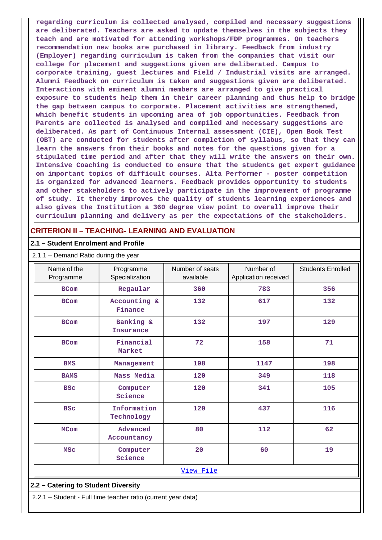**regarding curriculum is collected analysed, compiled and necessary suggestions are deliberated. Teachers are asked to update themselves in the subjects they teach and are motivated for attending workshops/FDP programmes. On teachers recommendation new books are purchased in library. Feedback from industry (Employer) regarding curriculum is taken from the companies that visit our college for placement and suggestions given are deliberated. Campus to corporate training, guest lectures and Field / Industrial visits are arranged. Alumni Feedback on curriculum is taken and suggestions given are deliberated. Interactions with eminent alumni members are arranged to give practical exposure to students help them in their career planning and thus help to bridge the gap between campus to corporate. Placement activities are strengthened, which benefit students in upcoming area of job opportunities. Feedback from Parents are collected is analysed and compiled and necessary suggestions are deliberated. As part of Continuous Internal assessment (CIE), Open Book Test (OBT) are conducted for students after completion of syllabus, so that they can learn the answers from their books and notes for the questions given for a stipulated time period and after that they will write the answers on their own. Intensive Coaching is conducted to ensure that the students get expert guidance on important topics of difficult courses. Alta Performer - poster competition is organized for advanced learners. Feedback provides opportunity to students and other stakeholders to actively participate in the improvement of programme of study. It thereby improves the quality of students learning experiences and also gives the Institution a 360 degree view point to overall improve their curriculum planning and delivery as per the expectations of the stakeholders.**

## **CRITERION II – TEACHING- LEARNING AND EVALUATION**

#### **2.1 – Student Enrolment and Profile**

| Name of the<br>Programme | Programme<br>Specialization   | Number of seats<br>available | Number of<br>Application received | <b>Students Enrolled</b> |
|--------------------------|-------------------------------|------------------------------|-----------------------------------|--------------------------|
| <b>BCom</b>              | Regaular                      | 360                          | 783                               | 356                      |
| <b>BCom</b>              | Accounting &<br>Finance       | 132                          | 617                               | 132                      |
| <b>BCom</b>              | Banking &<br><b>Insurance</b> | 132                          | 197                               | 129                      |
| <b>BCom</b>              | Financial<br>Market           | 72                           | 158                               | 71                       |
| <b>BMS</b>               | Management                    | 198                          | 1147                              | 198                      |
| <b>BAMS</b>              | Mass Media                    | 120                          | 349                               | 118                      |
| <b>BSC</b>               | Computer<br>Science           | 120                          | 341                               | 105                      |
| <b>BSC</b>               | Information<br>Technology     | 120                          | 437                               | 116                      |
| <b>MCom</b>              | Advanced<br>Accountancy       | 80                           | 112                               | 62                       |
| <b>MSC</b>               | Computer<br>Science           | 20                           | 60                                | 19                       |
|                          |                               | View File                    |                                   |                          |

#### 2.1.1 – Demand Ratio during the year

#### **2.2 – Catering to Student Diversity**

2.2.1 – Student - Full time teacher ratio (current year data)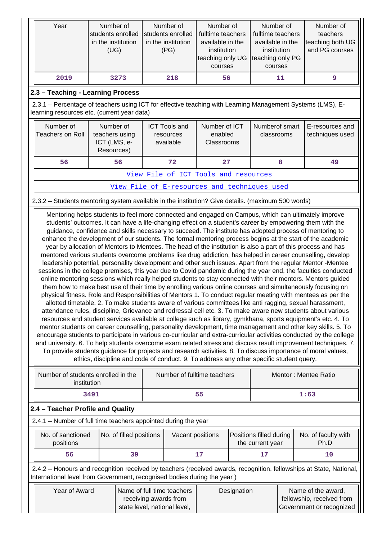| Year                                                                                                                                                      |                     | Number of<br>students enrolled<br>in the institution<br>(UG) | Number of<br>students enrolled<br>in the institution<br>(PG)                                                                                                                                                                                                                                                                                                                                                                                                                                                                                                                                                                                                                                                                                                                                                                                                                                                                                                                                                                                                                                                                                                                                                                                                                                                                                                                                                                                                                                                                                                                                                                                                                                                                                                                                                      | Number of<br>fulltime teachers<br>available in the<br>institution<br>teaching only UG<br>courses |             | Number of<br>fulltime teachers<br>available in the<br>institution<br>teaching only PG<br>courses |    | Number of<br>teachers<br>teaching both UG<br>and PG courses                                                                                                                                                                           |  |  |
|-----------------------------------------------------------------------------------------------------------------------------------------------------------|---------------------|--------------------------------------------------------------|-------------------------------------------------------------------------------------------------------------------------------------------------------------------------------------------------------------------------------------------------------------------------------------------------------------------------------------------------------------------------------------------------------------------------------------------------------------------------------------------------------------------------------------------------------------------------------------------------------------------------------------------------------------------------------------------------------------------------------------------------------------------------------------------------------------------------------------------------------------------------------------------------------------------------------------------------------------------------------------------------------------------------------------------------------------------------------------------------------------------------------------------------------------------------------------------------------------------------------------------------------------------------------------------------------------------------------------------------------------------------------------------------------------------------------------------------------------------------------------------------------------------------------------------------------------------------------------------------------------------------------------------------------------------------------------------------------------------------------------------------------------------------------------------------------------------|--------------------------------------------------------------------------------------------------|-------------|--------------------------------------------------------------------------------------------------|----|---------------------------------------------------------------------------------------------------------------------------------------------------------------------------------------------------------------------------------------|--|--|
| 2019                                                                                                                                                      |                     | 3273                                                         | 218                                                                                                                                                                                                                                                                                                                                                                                                                                                                                                                                                                                                                                                                                                                                                                                                                                                                                                                                                                                                                                                                                                                                                                                                                                                                                                                                                                                                                                                                                                                                                                                                                                                                                                                                                                                                               | 56                                                                                               |             |                                                                                                  | 11 | 9                                                                                                                                                                                                                                     |  |  |
| 2.3 - Teaching - Learning Process                                                                                                                         |                     |                                                              |                                                                                                                                                                                                                                                                                                                                                                                                                                                                                                                                                                                                                                                                                                                                                                                                                                                                                                                                                                                                                                                                                                                                                                                                                                                                                                                                                                                                                                                                                                                                                                                                                                                                                                                                                                                                                   |                                                                                                  |             |                                                                                                  |    |                                                                                                                                                                                                                                       |  |  |
| 2.3.1 - Percentage of teachers using ICT for effective teaching with Learning Management Systems (LMS), E-<br>learning resources etc. (current year data) |                     |                                                              |                                                                                                                                                                                                                                                                                                                                                                                                                                                                                                                                                                                                                                                                                                                                                                                                                                                                                                                                                                                                                                                                                                                                                                                                                                                                                                                                                                                                                                                                                                                                                                                                                                                                                                                                                                                                                   |                                                                                                  |             |                                                                                                  |    |                                                                                                                                                                                                                                       |  |  |
| Number of<br><b>Teachers on Roll</b>                                                                                                                      |                     | Number of<br>teachers using<br>ICT (LMS, e-<br>Resources)    | <b>ICT Tools and</b><br>resources<br>available                                                                                                                                                                                                                                                                                                                                                                                                                                                                                                                                                                                                                                                                                                                                                                                                                                                                                                                                                                                                                                                                                                                                                                                                                                                                                                                                                                                                                                                                                                                                                                                                                                                                                                                                                                    | Number of ICT<br>enabled<br>Classrooms                                                           |             | Numberof smart<br>classrooms                                                                     |    | E-resources and<br>techniques used                                                                                                                                                                                                    |  |  |
| 56                                                                                                                                                        |                     | 56                                                           | 72                                                                                                                                                                                                                                                                                                                                                                                                                                                                                                                                                                                                                                                                                                                                                                                                                                                                                                                                                                                                                                                                                                                                                                                                                                                                                                                                                                                                                                                                                                                                                                                                                                                                                                                                                                                                                | 27                                                                                               |             |                                                                                                  | 8  | 49                                                                                                                                                                                                                                    |  |  |
|                                                                                                                                                           |                     |                                                              | View File of ICT Tools and resources                                                                                                                                                                                                                                                                                                                                                                                                                                                                                                                                                                                                                                                                                                                                                                                                                                                                                                                                                                                                                                                                                                                                                                                                                                                                                                                                                                                                                                                                                                                                                                                                                                                                                                                                                                              |                                                                                                  |             |                                                                                                  |    |                                                                                                                                                                                                                                       |  |  |
| View File of E-resources and techniques used                                                                                                              |                     |                                                              |                                                                                                                                                                                                                                                                                                                                                                                                                                                                                                                                                                                                                                                                                                                                                                                                                                                                                                                                                                                                                                                                                                                                                                                                                                                                                                                                                                                                                                                                                                                                                                                                                                                                                                                                                                                                                   |                                                                                                  |             |                                                                                                  |    |                                                                                                                                                                                                                                       |  |  |
| 2.3.2 - Students mentoring system available in the institution? Give details. (maximum 500 words)                                                         |                     |                                                              |                                                                                                                                                                                                                                                                                                                                                                                                                                                                                                                                                                                                                                                                                                                                                                                                                                                                                                                                                                                                                                                                                                                                                                                                                                                                                                                                                                                                                                                                                                                                                                                                                                                                                                                                                                                                                   |                                                                                                  |             |                                                                                                  |    |                                                                                                                                                                                                                                       |  |  |
|                                                                                                                                                           |                     |                                                              | students' outcomes. It can have a life-changing effect on a student's career by empowering them with the<br>guidance, confidence and skills necessary to succeed. The institute has adopted process of mentoring to<br>enhance the development of our students. The formal mentoring process begins at the start of the academic<br>year by allocation of Mentors to Mentees. The head of the institution is also a part of this process and has<br>mentored various students overcome problems like drug addiction, has helped in career counselling, develop<br>leadership potential, personality development and other such issues. Apart from the regular Mentor -Mentee<br>sessions in the college premises, this year due to Covid pandemic during the year end, the faculties conducted<br>online mentoring sessions which really helped students to stay connected with their mentors. Mentors guided<br>them how to make best use of their time by enrolling various online courses and simultaneously focusing on<br>physical fitness. Role and Responsibilities of Mentors 1. To conduct regular meeting with mentees as per the<br>allotted timetable. 2. To make students aware of various committees like anti ragging, sexual harassment,<br>attendance rules, discipline, Grievance and redressal cell etc. 3. To make aware new students about various<br>resources and student services available at college such as library, gymkhana, sports equipment's etc. 4. To<br>mentor students on career counselling, personality development, time management and other key skills. 5. To<br>To provide students guidance for projects and research activities. 8. To discuss importance of moral values,<br>ethics, discipline and code of conduct. 9. To address any other specific student query. |                                                                                                  |             |                                                                                                  |    | encourage students to participate in various co-curricular and extra-curricular activities conducted by the college<br>and university. 6. To help students overcome exam related stress and discuss result improvement techniques. 7. |  |  |
| Number of students enrolled in the                                                                                                                        | institution<br>3491 |                                                              | Number of fulltime teachers                                                                                                                                                                                                                                                                                                                                                                                                                                                                                                                                                                                                                                                                                                                                                                                                                                                                                                                                                                                                                                                                                                                                                                                                                                                                                                                                                                                                                                                                                                                                                                                                                                                                                                                                                                                       | 55                                                                                               |             |                                                                                                  |    | Mentor: Mentee Ratio<br>1:63                                                                                                                                                                                                          |  |  |
| 2.4 - Teacher Profile and Quality                                                                                                                         |                     |                                                              |                                                                                                                                                                                                                                                                                                                                                                                                                                                                                                                                                                                                                                                                                                                                                                                                                                                                                                                                                                                                                                                                                                                                                                                                                                                                                                                                                                                                                                                                                                                                                                                                                                                                                                                                                                                                                   |                                                                                                  |             |                                                                                                  |    |                                                                                                                                                                                                                                       |  |  |
| 2.4.1 - Number of full time teachers appointed during the year                                                                                            |                     |                                                              |                                                                                                                                                                                                                                                                                                                                                                                                                                                                                                                                                                                                                                                                                                                                                                                                                                                                                                                                                                                                                                                                                                                                                                                                                                                                                                                                                                                                                                                                                                                                                                                                                                                                                                                                                                                                                   |                                                                                                  |             |                                                                                                  |    |                                                                                                                                                                                                                                       |  |  |
| No. of sanctioned<br>positions                                                                                                                            |                     | No. of filled positions                                      |                                                                                                                                                                                                                                                                                                                                                                                                                                                                                                                                                                                                                                                                                                                                                                                                                                                                                                                                                                                                                                                                                                                                                                                                                                                                                                                                                                                                                                                                                                                                                                                                                                                                                                                                                                                                                   | Vacant positions                                                                                 |             | Positions filled during<br>the current year                                                      |    | No. of faculty with<br>Ph.D                                                                                                                                                                                                           |  |  |
| 56                                                                                                                                                        |                     | 39                                                           |                                                                                                                                                                                                                                                                                                                                                                                                                                                                                                                                                                                                                                                                                                                                                                                                                                                                                                                                                                                                                                                                                                                                                                                                                                                                                                                                                                                                                                                                                                                                                                                                                                                                                                                                                                                                                   | 17                                                                                               |             | 17                                                                                               |    | 10                                                                                                                                                                                                                                    |  |  |
| International level from Government, recognised bodies during the year)                                                                                   |                     |                                                              |                                                                                                                                                                                                                                                                                                                                                                                                                                                                                                                                                                                                                                                                                                                                                                                                                                                                                                                                                                                                                                                                                                                                                                                                                                                                                                                                                                                                                                                                                                                                                                                                                                                                                                                                                                                                                   |                                                                                                  |             |                                                                                                  |    | 2.4.2 - Honours and recognition received by teachers (received awards, recognition, fellowships at State, National,                                                                                                                   |  |  |
| Year of Award                                                                                                                                             |                     |                                                              | Name of full time teachers<br>receiving awards from<br>state level, national level,                                                                                                                                                                                                                                                                                                                                                                                                                                                                                                                                                                                                                                                                                                                                                                                                                                                                                                                                                                                                                                                                                                                                                                                                                                                                                                                                                                                                                                                                                                                                                                                                                                                                                                                               |                                                                                                  | Designation |                                                                                                  |    | Name of the award,<br>fellowship, received from<br>Government or recognized                                                                                                                                                           |  |  |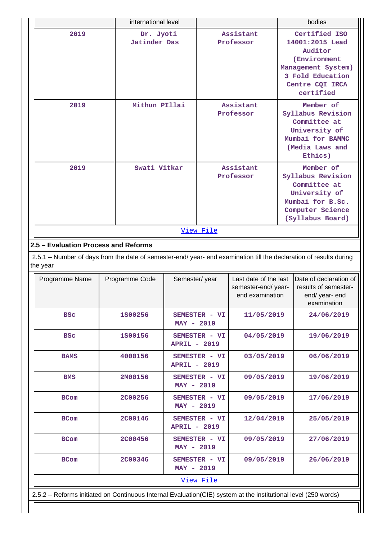|                                                                                                                                | international level              |                     |                        |                                                                | bodies                                                                                                                                |
|--------------------------------------------------------------------------------------------------------------------------------|----------------------------------|---------------------|------------------------|----------------------------------------------------------------|---------------------------------------------------------------------------------------------------------------------------------------|
| 2019                                                                                                                           | Dr. Jyoti<br><b>Jatinder Das</b> |                     |                        | Assistant<br>Professor                                         | Certified ISO<br>14001:2015 Lead<br>Auditor<br>(Environment<br>Management System)<br>3 Fold Education<br>Centre CQI IRCA<br>certified |
| 2019                                                                                                                           | Mithun PIllai                    |                     |                        | Assistant<br>Professor                                         | Member of<br>Syllabus Revision<br>Committee at<br>University of<br>Mumbai for BAMMC<br>(Media Laws and<br>Ethics)                     |
| 2019                                                                                                                           | Swati Vitkar                     |                     | Assistant<br>Professor |                                                                | Member of<br>Syllabus Revision<br>Committee at<br>University of<br>Mumbai for B.Sc.<br>Computer Science<br>(Syllabus Board)           |
|                                                                                                                                |                                  |                     | View File              |                                                                |                                                                                                                                       |
| 2.5 - Evaluation Process and Reforms                                                                                           |                                  |                     |                        |                                                                |                                                                                                                                       |
| 2.5.1 - Number of days from the date of semester-end/ year- end examination till the declaration of results during<br>the year |                                  |                     |                        |                                                                |                                                                                                                                       |
| Programme Name                                                                                                                 | Programme Code                   | Semester/year       |                        | Last date of the last<br>semester-end/year-<br>end examination | Date of declaration of<br>results of semester-<br>end/ year- end<br>examination                                                       |
| <b>BSC</b>                                                                                                                     | 1800256                          | $MAY - 2019$        | SEMESTER - VI          | 11/05/2019                                                     | 24/06/2019                                                                                                                            |
| <b>BSC</b>                                                                                                                     | 1800156                          | <b>APRIL - 2019</b> | SEMESTER - VI          | 04/05/2019                                                     | 19/06/2019                                                                                                                            |
| <b>BAMS</b>                                                                                                                    | 4000156                          |                     | SEMESTER - VI          | 03/05/2019                                                     | 06/06/2019                                                                                                                            |

| <b>BAMS</b>                                                                                                     | 4000156        | SEMESTER - VI<br><b>APRIL - 2019</b> | 03/05/2019 | 06/06/2019 |
|-----------------------------------------------------------------------------------------------------------------|----------------|--------------------------------------|------------|------------|
| <b>BMS</b>                                                                                                      | 2M00156        | SEMESTER - VI<br>$MAY - 2019$        | 09/05/2019 | 19/06/2019 |
| <b>BCom</b>                                                                                                     | <b>2C00256</b> | SEMESTER - VI<br>$MAX - 2019$        | 09/05/2019 | 17/06/2019 |
| <b>BCom</b>                                                                                                     | <b>2C00146</b> | SEMESTER - VI<br><b>APRIL - 2019</b> | 12/04/2019 | 25/05/2019 |
| <b>BCom</b>                                                                                                     | <b>2C00456</b> | SEMESTER - VI<br>$MAY - 2019$        | 09/05/2019 | 27/06/2019 |
| <b>BCom</b>                                                                                                     | <b>2C00346</b> | SEMESTER - VI<br>$MAY - 2019$        | 09/05/2019 | 26/06/2019 |
|                                                                                                                 |                | View File                            |            |            |
| 2.5.2 – Reforms initiated on Continuous Internal Evaluation (CIE) system at the institutional level (250 words) |                |                                      |            |            |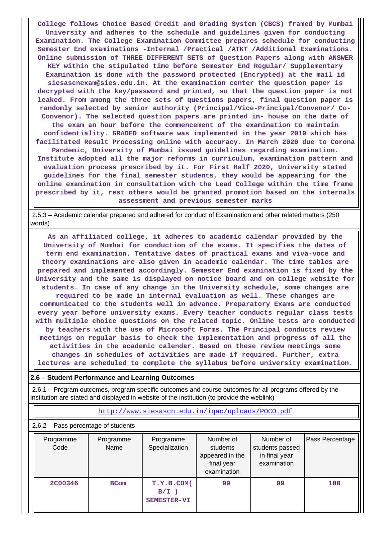**College follows Choice Based Credit and Grading System (CBCS) framed by Mumbai University and adheres to the schedule and guidelines given for conducting Examination. The College Examination Committee prepares schedule for conducting Semester End examinations -Internal /Practical /ATKT /Additional Examinations. Online submission of THREE DIFFERENT SETS of Question Papers along with ANSWER KEY within the stipulated time before Semester End Regular/ Supplementary Examination is done with the password protected (Encrypted) at the mail id siesascnexam@sies.edu.in. At the examination center the question paper is decrypted with the key/password and printed, so that the question paper is not leaked. From among the three sets of questions papers, final question paper is randomly selected by senior authority (Principal/Vice-Principal/Convenor/ Co-Convenor). The selected question papers are printed in- house on the date of the exam an hour before the commencement of the examination to maintain confidentiality. GRADED software was implemented in the year 2019 which has facilitated Result Processing online with accuracy. In March 2020 due to Corona Pandemic, University of Mumbai issued guidelines regarding examination. Institute adopted all the major reforms in curriculum, examination pattern and evaluation process prescribed by it. For First Half 2020, University stated guidelines for the final semester students, they would be appearing for the online examination in consultation with the Lead College within the time frame prescribed by it, rest others would be granted promotion based on the internals assessment and previous semester marks**

 2.5.3 – Academic calendar prepared and adhered for conduct of Examination and other related matters (250 words)

 **As an affiliated college, it adheres to academic calendar provided by the University of Mumbai for conduction of the exams. It specifies the dates of term end examination. Tentative dates of practical exams and viva-voce and theory examinations are also given in academic calendar. The time tables are prepared and implemented accordingly. Semester End examination is fixed by the University and the same is displayed on notice board and on college website for students. In case of any change in the University schedule, some changes are required to be made in internal evaluation as well. These changes are communicated to the students well in advance. Preparatory Exams are conducted every year before university exams. Every teacher conducts regular class tests with multiple choice questions on the related topic. Online tests are conducted by teachers with the use of Microsoft Forms. The Principal conducts review meetings on regular basis to check the implementation and progress of all the activities in the academic calendar. Based on these review meetings some changes in schedules of activities are made if required. Further, extra lectures are scheduled to complete the syllabus before university examination.**

#### **2.6 – Student Performance and Learning Outcomes**

 2.6.1 – Program outcomes, program specific outcomes and course outcomes for all programs offered by the institution are stated and displayed in website of the institution (to provide the weblink)

<http://www.siesascn.edu.in/iqac/uploads/POCO.pdf>

#### 2.6.2 – Pass percentage of students

| Programme<br>Code | Programme<br>Name | Programme<br>Specialization          | Number of<br>students<br>appeared in the<br>final year<br>examination | Number of<br>students passed<br>in final year<br>examination | Pass Percentage |
|-------------------|-------------------|--------------------------------------|-----------------------------------------------------------------------|--------------------------------------------------------------|-----------------|
| <b>2C00346</b>    | <b>BCom</b>       | T.Y.B.COM(<br>$B/I$ )<br>SEMESTER-VI | 99                                                                    | 99                                                           | 100             |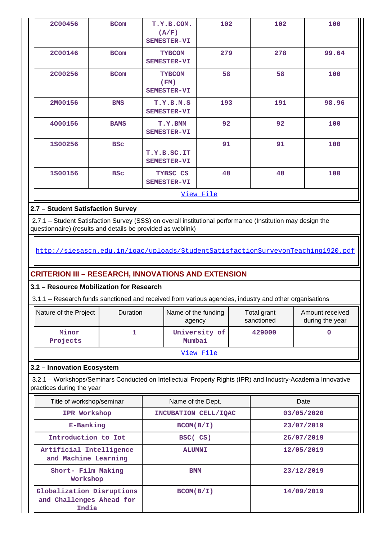| <b>2C00456</b> | <b>BCom</b> | T.Y.B.COM.<br>(A/F)<br>SEMESTER-VI   | 102       | 102 | 100   |
|----------------|-------------|--------------------------------------|-----------|-----|-------|
| <b>2C00146</b> | <b>BCom</b> | <b>TYBCOM</b><br>SEMESTER-VI         | 279       | 278 | 99.64 |
| <b>2C00256</b> | <b>BCom</b> | <b>TYBCOM</b><br>(FM)<br>SEMESTER-VI | 58        | 58  | 100   |
| 2M00156        | <b>BMS</b>  | T.Y.B.M.S<br>SEMESTER-VI             | 193       | 191 | 98.96 |
| 4000156        | <b>BAMS</b> | T.Y.BMM<br>SEMESTER-VI               | 92        | 92  | 100   |
| 1800256        | <b>BSC</b>  | T.Y.B.SC.IT<br>SEMESTER-VI           | 91        | 91  | 100   |
| 1800156        | <b>BSC</b>  | TYBSC CS<br>SEMESTER-VI              | 48        | 48  | 100   |
|                |             |                                      | View File |     |       |
|                |             |                                      |           |     |       |

## **2.7 – Student Satisfaction Survey**

 2.7.1 – Student Satisfaction Survey (SSS) on overall institutional performance (Institution may design the questionnaire) (results and details be provided as weblink)

## <http://siesascn.edu.in/iqac/uploads/StudentSatisfactionSurveyonTeaching1920.pdf>

## **CRITERION III – RESEARCH, INNOVATIONS AND EXTENSION**

## **3.1 – Resource Mobilization for Research**

3.1.1 – Research funds sanctioned and received from various agencies, industry and other organisations

| Nature of the Project | <b>Duration</b> | Name of the funding<br>agency | Total grant<br>sanctioned | Amount received<br>during the year |
|-----------------------|-----------------|-------------------------------|---------------------------|------------------------------------|
| Minor<br>Projects     |                 | University of<br>Mumbai       | 429000                    |                                    |
|                       |                 | View File                     |                           |                                    |

## **3.2 – Innovation Ecosystem**

 3.2.1 – Workshops/Seminars Conducted on Intellectual Property Rights (IPR) and Industry-Academia Innovative practices during the year

| Title of workshop/seminar                                      | Name of the Dept.    | Date       |
|----------------------------------------------------------------|----------------------|------------|
| IPR Workshop                                                   | INCUBATION CELL/IOAC | 03/05/2020 |
| E-Banking                                                      | BCOM(B/I)            | 23/07/2019 |
| Introduction to Iot                                            | BSC(CS)              | 26/07/2019 |
| Artificial Intelligence<br>and Machine Learning                | <b>ALUMNI</b>        | 12/05/2019 |
| Short- Film Making<br>Workshop                                 | <b>BMM</b>           | 23/12/2019 |
| Globalization Disruptions<br>and Challenges Ahead for<br>India | BCOM(B/I)            | 14/09/2019 |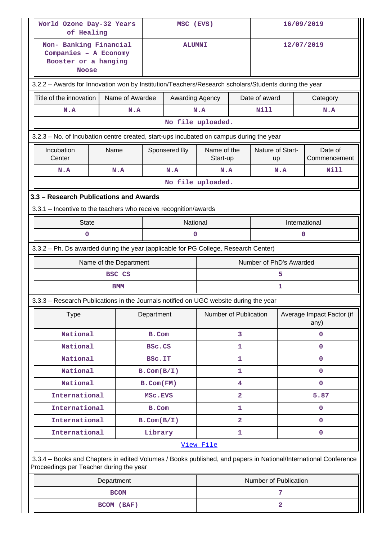| World Ozone Day-32 Years<br>of Healing                                                                                                                     |                                                   | MSC (EVS)        |                 |                         | 16/09/2019     |                        |                         |                                   |  |
|------------------------------------------------------------------------------------------------------------------------------------------------------------|---------------------------------------------------|------------------|-----------------|-------------------------|----------------|------------------------|-------------------------|-----------------------------------|--|
| Non- Banking Financial<br>Companies - A Economy<br>Booster or a hanging<br><b>Noose</b>                                                                    |                                                   |                  |                 | <b>ALUMNI</b>           |                |                        | 12/07/2019              |                                   |  |
| 3.2.2 - Awards for Innovation won by Institution/Teachers/Research scholars/Students during the year                                                       |                                                   |                  |                 |                         |                |                        |                         |                                   |  |
| Title of the innovation                                                                                                                                    | Name of Awardee                                   |                  | Awarding Agency |                         |                | Date of award          |                         | Category                          |  |
| N.A                                                                                                                                                        | N.A                                               |                  |                 | N.A                     |                | Nill                   |                         | N.A                               |  |
|                                                                                                                                                            |                                                   |                  |                 | No file uploaded.       |                |                        |                         |                                   |  |
| 3.2.3 - No. of Incubation centre created, start-ups incubated on campus during the year                                                                    |                                                   |                  |                 |                         |                |                        |                         |                                   |  |
| Incubation<br>Center                                                                                                                                       | Name                                              |                  | Sponsered By    | Name of the<br>Start-up |                | Nature of Start-<br>up |                         | Date of<br>Commencement           |  |
| N.A                                                                                                                                                        | N.A                                               |                  | N.A             | N.A                     |                |                        | N.A                     | Nill                              |  |
|                                                                                                                                                            |                                                   |                  |                 | No file uploaded.       |                |                        |                         |                                   |  |
| 3.3 - Research Publications and Awards                                                                                                                     |                                                   |                  |                 |                         |                |                        |                         |                                   |  |
| 3.3.1 - Incentive to the teachers who receive recognition/awards                                                                                           |                                                   |                  |                 |                         |                |                        |                         |                                   |  |
| <b>State</b>                                                                                                                                               |                                                   |                  | National        |                         |                |                        |                         | International                     |  |
| 0<br>0<br>0                                                                                                                                                |                                                   |                  |                 |                         |                |                        |                         |                                   |  |
| 3.3.2 - Ph. Ds awarded during the year (applicable for PG College, Research Center)                                                                        |                                                   |                  |                 |                         |                |                        |                         |                                   |  |
|                                                                                                                                                            | Name of the Department<br>Number of PhD's Awarded |                  |                 |                         |                |                        |                         |                                   |  |
|                                                                                                                                                            | <b>BSC CS</b>                                     |                  |                 |                         |                |                        | 5                       |                                   |  |
|                                                                                                                                                            | <b>BMM</b>                                        |                  |                 |                         |                |                        | 1                       |                                   |  |
| 3.3.3 - Research Publications in the Journals notified on UGC website during the year                                                                      |                                                   |                  |                 |                         |                |                        |                         |                                   |  |
| <b>Type</b>                                                                                                                                                |                                                   | Department       |                 | Number of Publication   |                |                        |                         | Average Impact Factor (if<br>any) |  |
| National                                                                                                                                                   |                                                   | B.Com            |                 |                         | 3              |                        |                         | $\mathbf{0}$                      |  |
| National                                                                                                                                                   |                                                   | BSC.CS           |                 | 1                       |                |                        | $\mathbf{0}$            |                                   |  |
| National                                                                                                                                                   |                                                   | <b>BSC.IT</b>    |                 |                         | 1              |                        |                         | $\mathbf 0$                       |  |
| National                                                                                                                                                   |                                                   | $B.$ Com $(B/I)$ |                 |                         | 1              |                        |                         | $\mathbf{0}$                      |  |
| National                                                                                                                                                   |                                                   | $B.$ Com $(FM)$  |                 |                         | 4              |                        |                         | $\mathbf{O}$                      |  |
| International                                                                                                                                              |                                                   | MSC.EVS          |                 |                         | $\overline{2}$ |                        |                         | 5.87                              |  |
| International                                                                                                                                              |                                                   | B.Com            |                 |                         | 1              |                        |                         | $\mathbf{0}$                      |  |
| International                                                                                                                                              |                                                   | $B.$ Com $(B/I)$ |                 |                         | $\overline{a}$ |                        |                         | $\mathbf 0$                       |  |
| International                                                                                                                                              |                                                   | Library          |                 | View File               | 1              |                        |                         | $\mathbf 0$                       |  |
|                                                                                                                                                            |                                                   |                  |                 |                         |                |                        |                         |                                   |  |
| 3.3.4 - Books and Chapters in edited Volumes / Books published, and papers in National/International Conference<br>Proceedings per Teacher during the year |                                                   |                  |                 |                         |                |                        |                         |                                   |  |
|                                                                                                                                                            | Department                                        |                  |                 | Number of Publication   |                |                        |                         |                                   |  |
|                                                                                                                                                            | <b>BCOM</b>                                       |                  |                 |                         |                |                        | 7                       |                                   |  |
|                                                                                                                                                            | BCOM (BAF)                                        |                  |                 |                         |                |                        | $\overline{\mathbf{2}}$ |                                   |  |

 $\mathbf{I}$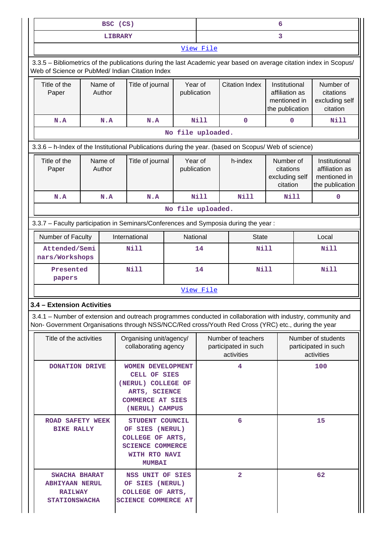|                                                                                                                                                                                                                    | BSC (CS)          |                                                                                                                              |    |                        |                   |                                                          | 6                                                                  |                                                                    |
|--------------------------------------------------------------------------------------------------------------------------------------------------------------------------------------------------------------------|-------------------|------------------------------------------------------------------------------------------------------------------------------|----|------------------------|-------------------|----------------------------------------------------------|--------------------------------------------------------------------|--------------------------------------------------------------------|
|                                                                                                                                                                                                                    | <b>LIBRARY</b>    |                                                                                                                              |    |                        |                   |                                                          | 3                                                                  |                                                                    |
|                                                                                                                                                                                                                    |                   |                                                                                                                              |    |                        | View File         |                                                          |                                                                    |                                                                    |
| 3.3.5 - Bibliometrics of the publications during the last Academic year based on average citation index in Scopus/<br>Web of Science or PubMed/ Indian Citation Index                                              |                   |                                                                                                                              |    |                        |                   |                                                          |                                                                    |                                                                    |
| Title of the<br>Paper                                                                                                                                                                                              | Name of<br>Author | Title of journal                                                                                                             |    | Year of<br>publication |                   | <b>Citation Index</b>                                    | Institutional<br>affiliation as<br>mentioned in<br>the publication | Number of<br>citations<br>excluding self<br>citation               |
| N.A                                                                                                                                                                                                                | N.A               | N.A                                                                                                                          |    |                        | Nill              | $\mathbf 0$                                              | $\mathbf 0$                                                        | Nill                                                               |
|                                                                                                                                                                                                                    |                   |                                                                                                                              |    |                        | No file uploaded. |                                                          |                                                                    |                                                                    |
| 3.3.6 - h-Index of the Institutional Publications during the year. (based on Scopus/ Web of science)                                                                                                               |                   |                                                                                                                              |    |                        |                   |                                                          |                                                                    |                                                                    |
| Title of the<br>Paper                                                                                                                                                                                              | Name of<br>Author | Title of journal                                                                                                             |    | Year of<br>publication |                   | h-index                                                  | Number of<br>citations<br>excluding self<br>citation               | Institutional<br>affiliation as<br>mentioned in<br>the publication |
| N.A                                                                                                                                                                                                                | N.A               | N.A                                                                                                                          |    |                        | <b>Nill</b>       | <b>Nill</b>                                              | Nill                                                               | $\mathbf 0$                                                        |
|                                                                                                                                                                                                                    |                   |                                                                                                                              |    |                        | No file uploaded. |                                                          |                                                                    |                                                                    |
| 3.3.7 - Faculty participation in Seminars/Conferences and Symposia during the year:                                                                                                                                |                   |                                                                                                                              |    |                        |                   |                                                          |                                                                    |                                                                    |
| Number of Faculty                                                                                                                                                                                                  |                   | International                                                                                                                |    | National               |                   | <b>State</b>                                             |                                                                    | Local                                                              |
| Attended/Semi<br>nars/Workshops                                                                                                                                                                                    |                   | <b>Nill</b>                                                                                                                  | 14 |                        | Nill              |                                                          | <b>Nill</b>                                                        |                                                                    |
| Presented<br>papers                                                                                                                                                                                                |                   | <b>Nill</b>                                                                                                                  | 14 |                        |                   | Nill                                                     |                                                                    | <b>Nill</b>                                                        |
|                                                                                                                                                                                                                    |                   |                                                                                                                              |    |                        | View File         |                                                          |                                                                    |                                                                    |
| 3.4 - Extension Activities                                                                                                                                                                                         |                   |                                                                                                                              |    |                        |                   |                                                          |                                                                    |                                                                    |
| 3.4.1 – Number of extension and outreach programmes conducted in collaboration with industry, community and<br>Non- Government Organisations through NSS/NCC/Red cross/Youth Red Cross (YRC) etc., during the year |                   |                                                                                                                              |    |                        |                   |                                                          |                                                                    |                                                                    |
| Title of the activities                                                                                                                                                                                            |                   | Organising unit/agency/<br>collaborating agency                                                                              |    |                        |                   | Number of teachers<br>participated in such<br>activities |                                                                    | Number of students<br>participated in such<br>activities           |
| DONATION DRIVE                                                                                                                                                                                                     |                   | <b>WOMEN DEVELOPMENT</b><br>CELL OF SIES<br>(NERUL) COLLEGE OF<br>ARTS, SCIENCE<br><b>COMMERCE AT SIES</b><br>(NERUL) CAMPUS |    |                        |                   | 4                                                        |                                                                    | 100                                                                |
| <b>ROAD SAFETY WEEK</b><br><b>BIKE RALLY</b>                                                                                                                                                                       |                   | STUDENT COUNCIL<br>OF SIES (NERUL)<br>COLLEGE OF ARTS,<br><b>SCIENCE COMMERCE</b><br>WITH RTO NAVI<br><b>MUMBAI</b>          |    |                        |                   | 6                                                        |                                                                    | 15                                                                 |
| SWACHA BHARAT<br><b>ABHIYAAN NERUL</b><br><b>RAILWAY</b><br><b>STATIONSWACHA</b>                                                                                                                                   |                   | NSS UNIT OF SIES<br>OF SIES (NERUL)<br>COLLEGE OF ARTS,<br><b>SCIENCE COMMERCE AT</b>                                        |    |                        |                   | $\overline{2}$                                           |                                                                    | 62                                                                 |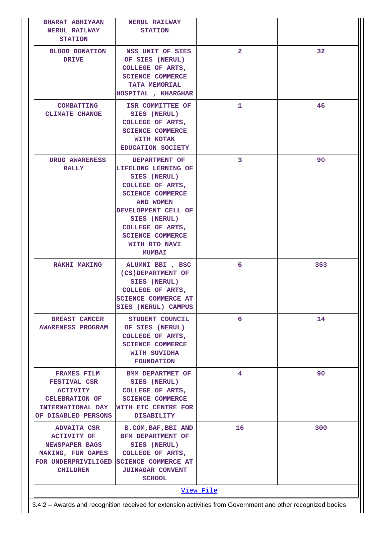| <b>BHARAT ABHIYAAN</b><br><b>NERUL RAILWAY</b><br><b>STATION</b>                                                                  | <b>NERUL RAILWAY</b><br><b>STATION</b>                                                                                                                                                                                                   |                 |                 |
|-----------------------------------------------------------------------------------------------------------------------------------|------------------------------------------------------------------------------------------------------------------------------------------------------------------------------------------------------------------------------------------|-----------------|-----------------|
| <b>BLOOD DONATION</b><br><b>DRIVE</b>                                                                                             | NSS UNIT OF SIES<br>OF SIES (NERUL)<br>COLLEGE OF ARTS,<br><b>SCIENCE COMMERCE</b><br>TATA MEMORIAL<br>HOSPITAL , KHARGHAR                                                                                                               | $\overline{2}$  | 32 <sup>2</sup> |
| <b>COMBATTING</b><br><b>CLIMATE CHANGE</b>                                                                                        | ISR COMMITTEE OF<br>SIES (NERUL)<br>COLLEGE OF ARTS,<br><b>SCIENCE COMMERCE</b><br>WITH KOTAK<br>EDUCATION SOCIETY                                                                                                                       | 1.              | 46              |
| <b>DRUG AWARENESS</b><br><b>RALLY</b>                                                                                             | DEPARTMENT OF<br>LIFELONG LERNING OF<br>SIES (NERUL)<br>COLLEGE OF ARTS,<br><b>SCIENCE COMMERCE</b><br>AND WOMEN<br>DEVELOPMENT CELL OF<br>SIES (NERUL)<br>COLLEGE OF ARTS,<br><b>SCIENCE COMMERCE</b><br>WITH RTO NAVI<br><b>MUMBAI</b> | 3               | 90              |
| <b>RAKHI MAKING</b>                                                                                                               | ALUMNI BBI , BSC<br>(CS) DEPARTMENT OF<br>SIES (NERUL)<br>COLLEGE OF ARTS,<br><b>SCIENCE COMMERCE AT</b><br>SIES (NERUL) CAMPUS                                                                                                          | 6               | 353             |
| <b>BREAST CANCER</b><br><b>AWARENESS PROGRAM</b>                                                                                  | STUDENT COUNCIL<br>OF SIES (NERUL)<br>COLLEGE OF ARTS,<br><b>SCIENCE COMMERCE</b><br>WITH SUVIDHA<br><b>FOUNDATION</b>                                                                                                                   | 6               | 14              |
| <b>FRAMES FILM</b><br><b>FESTIVAL CSR</b><br><b>ACTIVITY</b><br><b>CELEBRATION OF</b><br>INTERNATIONAL DAY<br>OF DISABLED PERSONS | <b>BMM DEPARTMET OF</b><br>SIES (NERUL)<br>COLLEGE OF ARTS,<br><b>SCIENCE COMMERCE</b><br>WITH ETC CENTRE FOR<br><b>DISABILITY</b>                                                                                                       | 4               | 90              |
| ADVAITA CSR<br><b>ACTIVITY OF</b><br>NEWSPAPER BAGS<br>MAKING, FUN GAMES<br>FOR UNDERPRIVILIGED<br><b>CHILDREN</b>                | <b>B.COM, BAF, BBI AND</b><br>BFM DEPARTMENT OF<br>SIES (NERUL)<br>COLLEGE OF ARTS,<br><b>SCIENCE COMMERCE AT</b><br><b>JUINAGAR CONVENT</b><br><b>SCHOOL</b>                                                                            | 16<br>View File | 300             |
|                                                                                                                                   |                                                                                                                                                                                                                                          |                 |                 |

3.4.2 – Awards and recognition received for extension activities from Government and other recognized bodies

 $\frac{1}{2}$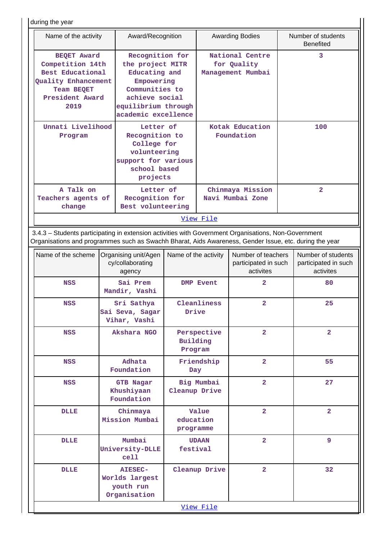during the year

|                              | Name of the activity                                                                                                                                                                                           |                                                                                                                                                      | Award/Recognition                                                                                             |                                                   |                               | <b>Awarding Bodies</b>                                  |     | Number of students<br><b>Benefited</b>                  |
|------------------------------|----------------------------------------------------------------------------------------------------------------------------------------------------------------------------------------------------------------|------------------------------------------------------------------------------------------------------------------------------------------------------|---------------------------------------------------------------------------------------------------------------|---------------------------------------------------|-------------------------------|---------------------------------------------------------|-----|---------------------------------------------------------|
|                              | <b>BEQET Award</b><br>Competition 14th<br>Best Educational<br>Quality Enhancement<br>Team BEQET<br>President Award<br>2019                                                                                     | Recognition for<br>the project MITR<br>Educating and<br>Empowering<br>Communities to<br>achieve social<br>equilibrium through<br>academic excellence |                                                                                                               |                                                   |                               | National Centre<br>for Quality<br>Management Mumbai     |     | 3                                                       |
| Unnati Livelihood<br>Program |                                                                                                                                                                                                                |                                                                                                                                                      | Letter of<br>Recognition to<br>College for<br>volunteering<br>support for various<br>school based<br>projects |                                                   | Kotak Education<br>Foundation |                                                         | 100 |                                                         |
|                              | A Talk on<br>change                                                                                                                                                                                            | Teachers agents of                                                                                                                                   |                                                                                                               | Letter of<br>Recognition for<br>Best volunteering |                               | Chinmaya Mission<br>Navi Mumbai Zone                    |     | $\overline{2}$                                          |
|                              |                                                                                                                                                                                                                |                                                                                                                                                      |                                                                                                               |                                                   | View File                     |                                                         |     |                                                         |
|                              | 3.4.3 - Students participating in extension activities with Government Organisations, Non-Government<br>Organisations and programmes such as Swachh Bharat, Aids Awareness, Gender Issue, etc. during the year |                                                                                                                                                      |                                                                                                               |                                                   |                               |                                                         |     |                                                         |
|                              | Name of the scheme                                                                                                                                                                                             |                                                                                                                                                      | Organising unit/Agen<br>cy/collaborating<br>agency                                                            | Name of the activity                              |                               | Number of teachers<br>participated in such<br>activites |     | Number of students<br>participated in such<br>activites |
|                              | <b>NSS</b>                                                                                                                                                                                                     |                                                                                                                                                      | Sai Prem<br>Mandir, Vashi                                                                                     |                                                   | <b>DMP Event</b>              | $\overline{a}$                                          |     | 80                                                      |
|                              | <b>NSS</b>                                                                                                                                                                                                     |                                                                                                                                                      | Sri Sathya<br>Sai Seva, Sagar<br>Vihar, Vashi                                                                 | Cleanliness<br>Drive                              |                               | $\overline{a}$                                          |     | 25                                                      |
|                              | <b>NSS</b>                                                                                                                                                                                                     |                                                                                                                                                      | Akshara NGO                                                                                                   | Building<br>Program                               | Perspective                   | $\overline{2}$                                          |     | $\overline{a}$                                          |
|                              | NSS                                                                                                                                                                                                            |                                                                                                                                                      | Adhata<br>Foundation                                                                                          | Day                                               | Friendship                    | $\overline{2}$                                          |     | 55                                                      |
|                              | NSS                                                                                                                                                                                                            |                                                                                                                                                      | <b>GTB Nagar</b><br>Khushiyaan<br>Foundation                                                                  | Cleanup Drive                                     | Big Mumbai                    | $\overline{\mathbf{2}}$                                 |     | 27                                                      |
|                              | <b>DLLE</b>                                                                                                                                                                                                    |                                                                                                                                                      | Chinmaya<br>Mission Mumbai                                                                                    | education<br>programme                            | Value                         | $\overline{a}$                                          |     | $\overline{2}$                                          |
|                              | <b>DLLE</b>                                                                                                                                                                                                    |                                                                                                                                                      | Mumbai<br>University-DLLE<br>cell                                                                             | festival                                          | <b>UDAAN</b>                  | $\overline{a}$                                          |     | 9                                                       |
|                              | <b>DLLE</b>                                                                                                                                                                                                    |                                                                                                                                                      | <b>AIESEC-</b><br>Worlds largest<br>youth run<br>Organisation                                                 |                                                   | Cleanup Drive                 | $\overline{\mathbf{2}}$                                 |     | 32                                                      |
|                              |                                                                                                                                                                                                                |                                                                                                                                                      |                                                                                                               |                                                   | View File                     |                                                         |     |                                                         |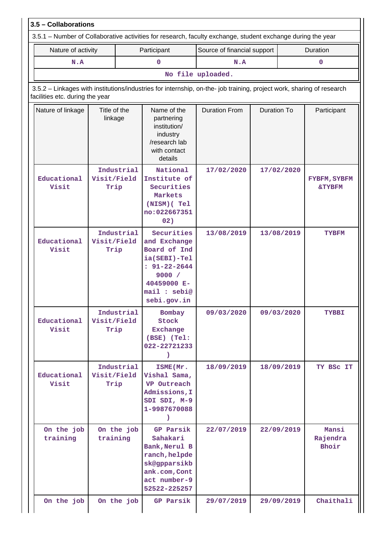| Nature of activity              |                         |                                                                                                                           | Participant                                                                                                                              | Source of financial support                                                                                           |                          |             | Duration                          |  |
|---------------------------------|-------------------------|---------------------------------------------------------------------------------------------------------------------------|------------------------------------------------------------------------------------------------------------------------------------------|-----------------------------------------------------------------------------------------------------------------------|--------------------------|-------------|-----------------------------------|--|
| N.A                             |                         |                                                                                                                           | $\mathbf{O}$                                                                                                                             | N.A                                                                                                                   |                          |             | $\mathbf 0$                       |  |
|                                 |                         |                                                                                                                           |                                                                                                                                          | No file uploaded.                                                                                                     |                          |             |                                   |  |
| facilities etc. during the year |                         |                                                                                                                           |                                                                                                                                          | 3.5.2 - Linkages with institutions/industries for internship, on-the- job training, project work, sharing of research |                          |             |                                   |  |
| Nature of linkage               | Title of the<br>linkage | <b>Duration From</b><br>Name of the<br>partnering<br>institution/<br>industry<br>/research lab<br>with contact<br>details |                                                                                                                                          | <b>Duration To</b>                                                                                                    |                          | Participant |                                   |  |
| Educational<br>Visit            | Visit/Field<br>Trip     | Industrial                                                                                                                | National<br>Institute of<br>Securities<br>Markets<br>(NISM) (Tel<br>no:022667351<br>02)                                                  | 17/02/2020                                                                                                            | 17/02/2020<br>13/08/2019 |             | FYBFM, SYBFM<br><b>&amp;TYBFM</b> |  |
| Educational<br>Visit            | Visit/Field<br>Trip     | Industrial                                                                                                                | Securities<br>and Exchange<br>Board of Ind<br>ia(SEBI)-Tel<br>$: 91 - 22 - 2644$<br>9000 /<br>40459000 E-<br>mail : sebi@<br>sebi.gov.in | 13/08/2019                                                                                                            |                          |             | <b>TYBFM</b>                      |  |
| Educational<br>Visit            | Visit/Field<br>Trip     | Industrial                                                                                                                | Bombay<br>Stock<br><b>Exchange</b><br>(BSE) (Tel:<br>022-22721233<br>$\lambda$                                                           | 09/03/2020                                                                                                            |                          | 09/03/2020  | <b>TYBBI</b>                      |  |
| Educational<br>Visit            | Visit/Field<br>Trip     | Industrial                                                                                                                | ISME(Mr.<br>Vishal Sama,<br>VP Outreach<br>Admissions, I<br>SDI SDI, M-9<br>1-9987670088<br>$\mathcal{L}$                                | 18/09/2019                                                                                                            |                          | 18/09/2019  | TY BSC IT                         |  |
| On the job<br>training          | training                | On the job                                                                                                                | GP Parsik<br>Sahakari<br>Bank, Nerul B<br>ranch, helpde<br>sk@gpparsikb<br>ank.com, Cont<br>act number-9<br>52522-225257                 | 22/07/2019                                                                                                            |                          | 22/09/2019  | Mansi<br>Rajendra<br>Bhoir        |  |
| On the job                      | On the job              |                                                                                                                           | GP Parsik                                                                                                                                | 29/07/2019                                                                                                            |                          | 29/09/2019  | Chaithali                         |  |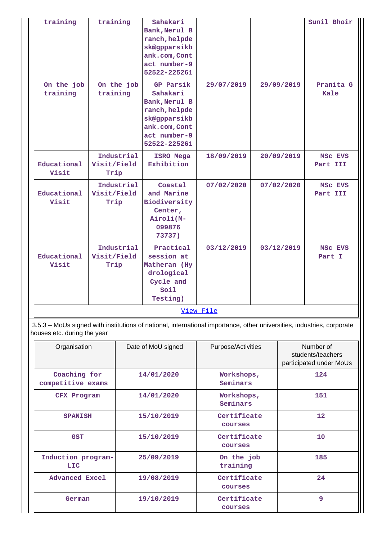| training                                                 | training                          |            | Sahakari<br>Bank, Nerul B<br>ranch, helpde<br>sk@gpparsikb<br>ank.com, Cont<br>act number-9<br>52522-225261              |            |  |                                | Sunil Bhoir         |
|----------------------------------------------------------|-----------------------------------|------------|--------------------------------------------------------------------------------------------------------------------------|------------|--|--------------------------------|---------------------|
| On the job<br>training                                   | training                          | On the job | GP Parsik<br>Sahakari<br>Bank, Nerul B<br>ranch, helpde<br>sk@gpparsikb<br>ank.com, Cont<br>act number-9<br>52522-225261 | 29/07/2019 |  | 29/09/2019                     | Pranita G<br>Kale   |
| Educational<br>Visit                                     | Visit/Field<br>Trip               | Industrial | ISRO Mega<br>Exhibition                                                                                                  | 18/09/2019 |  | 20/09/2019                     | MSC EVS<br>Part III |
| Educational<br>Visit                                     | Industrial<br>Visit/Field<br>Trip |            | Coastal<br>and Marine<br>Biodiversity<br>Center,<br>Airoli(M-<br>099876<br>73737)                                        | 07/02/2020 |  | 07/02/2020                     | MSC EVS<br>Part III |
| Educational<br>Visit                                     | Visit/Field<br>Trip               | Industrial | Practical<br>session at<br>Matheran (Hy<br>drological<br>Cycle and<br>Soil<br>Testing)                                   | 03/12/2019 |  | 03/12/2019                     | MSC EVS<br>Part I   |
|                                                          |                                   |            |                                                                                                                          | View File  |  |                                |                     |
| houses etc. during the year                              |                                   |            | 3.5.3 - MoUs signed with institutions of national, international importance, other universities, industries, corporate   |            |  |                                |                     |
| Purpose/Activities<br>Organisation<br>Date of MoU signed |                                   |            |                                                                                                                          |            |  | Number of<br>students/teachers |                     |

| Organisation                      | Date of MoU signed | Purpose/Activities     | Number of<br>students/teachers<br>participated under MoUs |
|-----------------------------------|--------------------|------------------------|-----------------------------------------------------------|
| Coaching for<br>competitive exams | 14/01/2020         | Workshops,<br>Seminars | 124                                                       |
| CFX Program                       | 14/01/2020         | Workshops,<br>Seminars | 151                                                       |
| <b>SPANISH</b>                    | 15/10/2019         | Certificate<br>courses | $12 \overline{ }$                                         |
| <b>GST</b>                        | 15/10/2019         | Certificate<br>courses | 10                                                        |
| Induction program-<br><b>LIC</b>  | 25/09/2019         | On the job<br>training | 185                                                       |
| <b>Advanced Excel</b>             | 19/08/2019         | Certificate<br>courses | 24                                                        |
| German                            | 19/10/2019         | Certificate<br>courses | 9                                                         |

IJ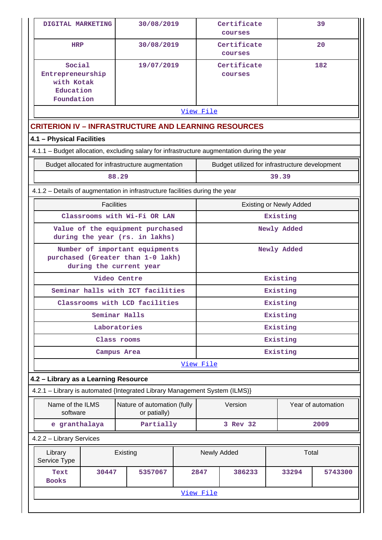| DIGITAL MARKETING                                                                              | 30/08/2019                                  |  |           | Certificate<br>courses                         |                                | 39                 |  |  |  |  |
|------------------------------------------------------------------------------------------------|---------------------------------------------|--|-----------|------------------------------------------------|--------------------------------|--------------------|--|--|--|--|
| <b>HRP</b>                                                                                     | 30/08/2019                                  |  |           | Certificate<br>courses                         |                                | 20                 |  |  |  |  |
| Social<br>Entrepreneurship<br>with Kotak<br>Education<br>Foundation                            | 19/07/2019                                  |  |           | Certificate<br>courses                         |                                | 182                |  |  |  |  |
| View File                                                                                      |                                             |  |           |                                                |                                |                    |  |  |  |  |
| <b>CRITERION IV - INFRASTRUCTURE AND LEARNING RESOURCES</b>                                    |                                             |  |           |                                                |                                |                    |  |  |  |  |
| 4.1 - Physical Facilities                                                                      |                                             |  |           |                                                |                                |                    |  |  |  |  |
| 4.1.1 - Budget allocation, excluding salary for infrastructure augmentation during the year    |                                             |  |           |                                                |                                |                    |  |  |  |  |
| Budget allocated for infrastructure augmentation                                               |                                             |  |           | Budget utilized for infrastructure development |                                |                    |  |  |  |  |
|                                                                                                | 88.29                                       |  |           |                                                | 39.39                          |                    |  |  |  |  |
| 4.1.2 - Details of augmentation in infrastructure facilities during the year                   |                                             |  |           |                                                |                                |                    |  |  |  |  |
| <b>Facilities</b>                                                                              |                                             |  |           |                                                | <b>Existing or Newly Added</b> |                    |  |  |  |  |
|                                                                                                | Classrooms with Wi-Fi OR LAN                |  |           |                                                | Existing                       |                    |  |  |  |  |
| Value of the equipment purchased<br>during the year (rs. in lakhs)                             |                                             |  |           | Newly Added                                    |                                |                    |  |  |  |  |
| Number of important equipments<br>purchased (Greater than 1-0 lakh)<br>during the current year |                                             |  |           | Newly Added                                    |                                |                    |  |  |  |  |
|                                                                                                | Video Centre                                |  |           |                                                | Existing                       |                    |  |  |  |  |
| Seminar halls with ICT facilities                                                              |                                             |  |           |                                                | Existing                       |                    |  |  |  |  |
|                                                                                                | Classrooms with LCD facilities              |  | Existing  |                                                |                                |                    |  |  |  |  |
|                                                                                                | Seminar Halls                               |  | Existing  |                                                |                                |                    |  |  |  |  |
|                                                                                                | Laboratories                                |  | Existing  |                                                |                                |                    |  |  |  |  |
|                                                                                                | Class rooms                                 |  | Existing  |                                                |                                |                    |  |  |  |  |
|                                                                                                | Campus Area                                 |  |           |                                                | Existing                       |                    |  |  |  |  |
|                                                                                                |                                             |  | View File |                                                |                                |                    |  |  |  |  |
| 4.2 - Library as a Learning Resource                                                           |                                             |  |           |                                                |                                |                    |  |  |  |  |
| 4.2.1 - Library is automated {Integrated Library Management System (ILMS)}                     |                                             |  |           |                                                |                                |                    |  |  |  |  |
| Name of the ILMS<br>software                                                                   | Nature of automation (fully<br>or patially) |  |           | Version                                        |                                | Year of automation |  |  |  |  |
| e granthalaya                                                                                  | Partially                                   |  |           | 3 Rev 32                                       |                                | 2009               |  |  |  |  |
| 4.2.2 - Library Services                                                                       |                                             |  |           |                                                |                                |                    |  |  |  |  |
| Library<br>Service Type                                                                        | Existing                                    |  |           | Newly Added                                    | Total                          |                    |  |  |  |  |
| Text<br>30447<br><b>Books</b>                                                                  | 5357067                                     |  | 2847      | 386233                                         | 33294                          | 5743300            |  |  |  |  |
|                                                                                                |                                             |  | View File |                                                |                                |                    |  |  |  |  |
|                                                                                                |                                             |  |           |                                                |                                |                    |  |  |  |  |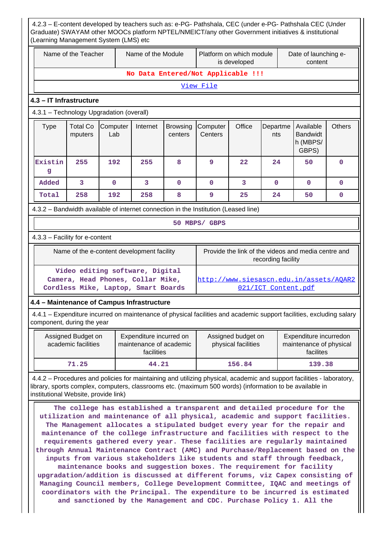|              | Name of the Teacher                                                                                                                         |             | Name of the Module                                                                                          |             | Platform on which module<br>is developed                                                                                                                                                                                                                                                                                                                                                                                                                                                                                                                                                                                                                                                                                                                                                                                                                                                           |                                           |                                                   | Date of launching e-<br>content                                |              |
|--------------|---------------------------------------------------------------------------------------------------------------------------------------------|-------------|-------------------------------------------------------------------------------------------------------------|-------------|----------------------------------------------------------------------------------------------------------------------------------------------------------------------------------------------------------------------------------------------------------------------------------------------------------------------------------------------------------------------------------------------------------------------------------------------------------------------------------------------------------------------------------------------------------------------------------------------------------------------------------------------------------------------------------------------------------------------------------------------------------------------------------------------------------------------------------------------------------------------------------------------------|-------------------------------------------|---------------------------------------------------|----------------------------------------------------------------|--------------|
|              |                                                                                                                                             |             |                                                                                                             |             | No Data Entered/Not Applicable !!!                                                                                                                                                                                                                                                                                                                                                                                                                                                                                                                                                                                                                                                                                                                                                                                                                                                                 |                                           |                                                   |                                                                |              |
|              |                                                                                                                                             |             |                                                                                                             |             | View File                                                                                                                                                                                                                                                                                                                                                                                                                                                                                                                                                                                                                                                                                                                                                                                                                                                                                          |                                           |                                                   |                                                                |              |
|              | 4.3 - IT Infrastructure                                                                                                                     |             |                                                                                                             |             |                                                                                                                                                                                                                                                                                                                                                                                                                                                                                                                                                                                                                                                                                                                                                                                                                                                                                                    |                                           |                                                   |                                                                |              |
|              | 4.3.1 - Technology Upgradation (overall)                                                                                                    |             |                                                                                                             |             |                                                                                                                                                                                                                                                                                                                                                                                                                                                                                                                                                                                                                                                                                                                                                                                                                                                                                                    |                                           |                                                   |                                                                |              |
| <b>Type</b>  | <b>Total Co</b><br>Office<br>Computer<br>Internet<br>Computer<br>Departme<br><b>Browsing</b><br>Lab<br>Centers<br>mputers<br>centers<br>nts |             |                                                                                                             |             |                                                                                                                                                                                                                                                                                                                                                                                                                                                                                                                                                                                                                                                                                                                                                                                                                                                                                                    |                                           | Available<br><b>Bandwidt</b><br>h (MBPS/<br>GBPS) | <b>Others</b>                                                  |              |
| Existin<br>g | 255                                                                                                                                         | 192         | 255                                                                                                         | 8           | 9                                                                                                                                                                                                                                                                                                                                                                                                                                                                                                                                                                                                                                                                                                                                                                                                                                                                                                  | 22                                        | 24                                                | 50                                                             | $\mathbf{0}$ |
| Added        | 3                                                                                                                                           | $\mathbf 0$ | 3                                                                                                           | $\mathbf 0$ | $\mathbf{O}$                                                                                                                                                                                                                                                                                                                                                                                                                                                                                                                                                                                                                                                                                                                                                                                                                                                                                       | 3                                         | $\mathbf{0}$                                      | $\mathbf 0$                                                    | $\mathbf{0}$ |
| Total        | 258                                                                                                                                         | 192         | 258                                                                                                         | 8           | 9                                                                                                                                                                                                                                                                                                                                                                                                                                                                                                                                                                                                                                                                                                                                                                                                                                                                                                  | 25                                        | 24                                                | 50                                                             | $\mathbf 0$  |
|              |                                                                                                                                             |             |                                                                                                             |             | 4.3.2 - Bandwidth available of internet connection in the Institution (Leased line)                                                                                                                                                                                                                                                                                                                                                                                                                                                                                                                                                                                                                                                                                                                                                                                                                |                                           |                                                   |                                                                |              |
|              |                                                                                                                                             |             |                                                                                                             |             | 50 MBPS/ GBPS                                                                                                                                                                                                                                                                                                                                                                                                                                                                                                                                                                                                                                                                                                                                                                                                                                                                                      |                                           |                                                   |                                                                |              |
|              | 4.3.3 - Facility for e-content                                                                                                              |             |                                                                                                             |             |                                                                                                                                                                                                                                                                                                                                                                                                                                                                                                                                                                                                                                                                                                                                                                                                                                                                                                    |                                           |                                                   |                                                                |              |
|              |                                                                                                                                             |             | Name of the e-content development facility                                                                  |             |                                                                                                                                                                                                                                                                                                                                                                                                                                                                                                                                                                                                                                                                                                                                                                                                                                                                                                    |                                           | recording facility                                | Provide the link of the videos and media centre and            |              |
|              |                                                                                                                                             |             | Video editing software, Digital<br>Camera, Head Phones, Collar Mike,<br>Cordless Mike, Laptop, Smart Boards |             |                                                                                                                                                                                                                                                                                                                                                                                                                                                                                                                                                                                                                                                                                                                                                                                                                                                                                                    |                                           | 021/ICT Content.pdf                               | http://www.siesascn.edu.in/assets/AQAR2                        |              |
|              |                                                                                                                                             |             | 4.4 - Maintenance of Campus Infrastructure                                                                  |             |                                                                                                                                                                                                                                                                                                                                                                                                                                                                                                                                                                                                                                                                                                                                                                                                                                                                                                    |                                           |                                                   |                                                                |              |
|              | component, during the year                                                                                                                  |             |                                                                                                             |             | 4.4.1 – Expenditure incurred on maintenance of physical facilities and academic support facilities, excluding salary                                                                                                                                                                                                                                                                                                                                                                                                                                                                                                                                                                                                                                                                                                                                                                               |                                           |                                                   |                                                                |              |
|              | Assigned Budget on<br>academic facilities                                                                                                   |             | Expenditure incurred on<br>maintenance of academic<br>facilities                                            |             |                                                                                                                                                                                                                                                                                                                                                                                                                                                                                                                                                                                                                                                                                                                                                                                                                                                                                                    | Assigned budget on<br>physical facilities |                                                   | Expenditure incurredon<br>maintenance of physical<br>facilites |              |
|              | 71.25                                                                                                                                       |             | 44.21                                                                                                       |             |                                                                                                                                                                                                                                                                                                                                                                                                                                                                                                                                                                                                                                                                                                                                                                                                                                                                                                    | 156.84                                    |                                                   | 139.38                                                         |              |
|              | institutional Website, provide link)                                                                                                        |             |                                                                                                             |             | 4.4.2 - Procedures and policies for maintaining and utilizing physical, academic and support facilities - laboratory,<br>library, sports complex, computers, classrooms etc. (maximum 500 words) (information to be available in                                                                                                                                                                                                                                                                                                                                                                                                                                                                                                                                                                                                                                                                   |                                           |                                                   |                                                                |              |
|              | and sanctioned by the Management and CDC. Purchase Policy 1. All the                                                                        |             |                                                                                                             |             | The college has established a transparent and detailed procedure for the<br>utilization and maintenance of all physical, academic and support facilities.<br>The Management allocates a stipulated budget every year for the repair and<br>maintenance of the college infrastructure and facilities with respect to the<br>requirements gathered every year. These facilities are regularly maintained<br>through Annual Maintenance Contract (AMC) and Purchase/Replacement based on the<br>inputs from various stakeholders like students and staff through feedback,<br>maintenance books and suggestion boxes. The requirement for facility<br>upgradation/addition is discussed at different forums, viz Capex consisting of<br>Managing Council members, College Development Committee, IQAC and meetings of<br>coordinators with the Principal. The expenditure to be incurred is estimated |                                           |                                                   |                                                                |              |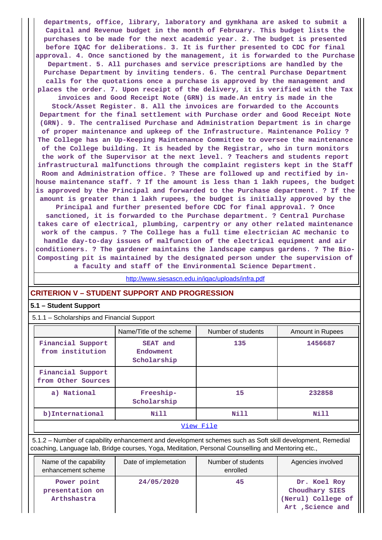**departments, office, library, laboratory and gymkhana are asked to submit a Capital and Revenue budget in the month of February. This budget lists the purchases to be made for the next academic year. 2. The budget is presented before IQAC for deliberations. 3. It is further presented to CDC for final approval. 4. Once sanctioned by the management, it is forwarded to the Purchase Department. 5. All purchases and service prescriptions are handled by the Purchase Department by inviting tenders. 6. The central Purchase Department calls for the quotations once a purchase is approved by the management and places the order. 7. Upon receipt of the delivery, it is verified with the Tax**

**invoices and Good Receipt Note (GRN) is made.An entry is made in the Stock/Asset Register. 8. All the invoices are forwarded to the Accounts Department for the final settlement with Purchase order and Good Receipt Note (GRN). 9. The centralised Purchase and Administration Department is in charge of proper maintenance and upkeep of the Infrastructure. Maintenance Policy ? The College has an Up-Keeping Maintenance Committee to oversee the maintenance of the College building. It is headed by the Registrar, who in turn monitors the work of the Supervisor at the next level. ? Teachers and students report infrastructural malfunctions through the complaint registers kept in the Staff Room and Administration office. ? These are followed up and rectified by inhouse maintenance staff. ? If the amount is less than 1 lakh rupees, the budget is approved by the Principal and forwarded to the Purchase department. ? If the amount is greater than 1 lakh rupees, the budget is initially approved by the**

**Principal and further presented before CDC for final approval. ? Once sanctioned, it is forwarded to the Purchase department. ? Central Purchase takes care of electrical, plumbing, carpentry or any other related maintenance work of the campus. ? The College has a full time electrician AC mechanic to handle day-to-day issues of malfunction of the electrical equipment and air conditioners. ? The gardener maintains the landscape campus gardens. ? The Bio-Composting pit is maintained by the designated person under the supervision of a faculty and staff of the Environmental Science Department.**

<http://www.siesascn.edu.in/iqac/uploads/infra.pdf>

## **CRITERION V – STUDENT SUPPORT AND PROGRESSION**

#### **5.1 – Student Support**

5.1.1 – Scholarships and Financial Support

| o Conolatorlipo and midnoidi cappoit    |                                      |                    |                  |  |  |  |  |  |
|-----------------------------------------|--------------------------------------|--------------------|------------------|--|--|--|--|--|
|                                         | Name/Title of the scheme             | Number of students | Amount in Rupees |  |  |  |  |  |
| Financial Support<br>from institution   | SEAT and<br>Endowment<br>Scholarship | 135                | 1456687          |  |  |  |  |  |
| Financial Support<br>from Other Sources |                                      |                    |                  |  |  |  |  |  |
| a) National                             | Freeship-<br>Scholarship             | 15                 | 232858           |  |  |  |  |  |
| b) International                        | Nill                                 | Nill               | Nill             |  |  |  |  |  |
| View File                               |                                      |                    |                  |  |  |  |  |  |

 5.1.2 – Number of capability enhancement and development schemes such as Soft skill development, Remedial coaching, Language lab, Bridge courses, Yoga, Meditation, Personal Counselling and Mentoring etc.,

| Name of the capability<br>enhancement scheme  | Date of implemetation | Number of students<br>enrolled | Agencies involved                                                         |
|-----------------------------------------------|-----------------------|--------------------------------|---------------------------------------------------------------------------|
| Power point<br>presentation on<br>Arthshastra | 24/05/2020            | 45                             | Dr. Koel Roy<br>Choudhary SIES<br>(Nerul) College of<br>Art , Science and |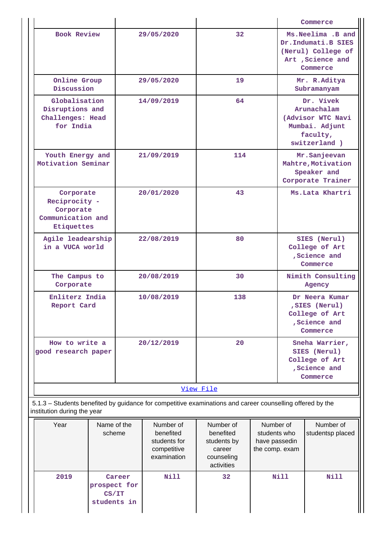|                                                                            |                                      |            |                                                                      |                                                                                                           |                                                              |                                                                                              | Commerce                                                                                         |
|----------------------------------------------------------------------------|--------------------------------------|------------|----------------------------------------------------------------------|-----------------------------------------------------------------------------------------------------------|--------------------------------------------------------------|----------------------------------------------------------------------------------------------|--------------------------------------------------------------------------------------------------|
| <b>Book Review</b>                                                         |                                      |            | 29/05/2020                                                           | 32                                                                                                        |                                                              |                                                                                              | Ms. Neelima . B and<br>Dr.Indumati.B SIES<br>(Nerul) College of<br>Art , Science and<br>Commerce |
| Online Group<br>Discussion                                                 |                                      | 29/05/2020 |                                                                      | 19                                                                                                        |                                                              |                                                                                              | Mr. R.Aditya<br>Subramanyam                                                                      |
| Globalisation<br>Disruptions and<br>Challenges: Head<br>for India          |                                      | 14/09/2019 |                                                                      | 64                                                                                                        |                                                              | Dr. Vivek<br>Arunachalam<br>(Advisor WTC Navi<br>Mumbai. Adjunt<br>faculty,<br>switzerland ) |                                                                                                  |
| Youth Energy and<br>Motivation Seminar                                     |                                      |            | 21/09/2019                                                           | 114                                                                                                       |                                                              |                                                                                              | Mr.Sanjeevan<br>Mahtre, Motivation<br>Speaker and<br>Corporate Trainer                           |
| Corporate<br>Reciprocity -<br>Corporate<br>Communication and<br>Etiquettes |                                      | 20/01/2020 |                                                                      | 43                                                                                                        |                                                              | Ms.Lata Khartri                                                                              |                                                                                                  |
| Agile leadearship<br>in a VUCA world                                       |                                      | 22/08/2019 |                                                                      | 80                                                                                                        |                                                              | SIES (Nerul)<br>College of Art<br>, Science and<br>Commerce                                  |                                                                                                  |
| The Campus to<br>Corporate                                                 |                                      | 20/08/2019 |                                                                      | 30                                                                                                        |                                                              | Nimith Consulting<br>Agency                                                                  |                                                                                                  |
| Enliterz India<br>Report Card                                              |                                      |            | 10/08/2019                                                           | 138                                                                                                       |                                                              | Dr Neera Kumar<br>, SIES (Nerul)<br>College of Art<br>, Science and<br>Commerce              |                                                                                                  |
| How to write a<br>good research paper                                      |                                      |            | 20/12/2019                                                           | 20                                                                                                        |                                                              |                                                                                              | Sneha Warrier,<br>SIES (Nerul)<br>College of Art<br>, Science and<br>Commerce                    |
|                                                                            |                                      |            |                                                                      | View File                                                                                                 |                                                              |                                                                                              |                                                                                                  |
| institution during the year                                                |                                      |            |                                                                      | 5.1.3 - Students benefited by guidance for competitive examinations and career counselling offered by the |                                                              |                                                                                              |                                                                                                  |
| Year                                                                       | Name of the<br>scheme                |            | Number of<br>benefited<br>students for<br>competitive<br>examination | Number of<br>benefited<br>students by<br>career<br>counseling<br>activities                               | Number of<br>students who<br>have passedin<br>the comp. exam |                                                                                              | Number of<br>studentsp placed                                                                    |
| 2019                                                                       | prospect for<br>CS/IT<br>students in | Career     | <b>Nill</b>                                                          | 32                                                                                                        |                                                              | <b>Nill</b>                                                                                  | <b>Nill</b>                                                                                      |

Ш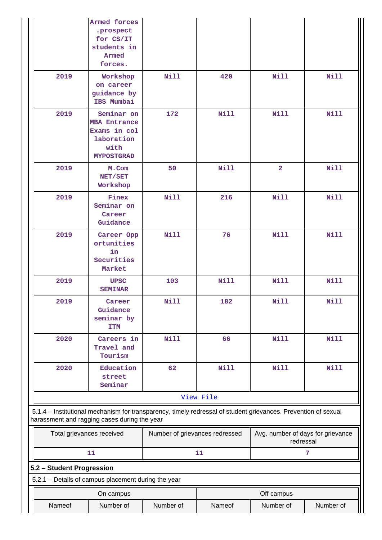|                                              | Armed forces<br>.prospect<br>for CS/IT<br>students in<br>Armed<br>forces.                                      |                                |             |                                                |             |
|----------------------------------------------|----------------------------------------------------------------------------------------------------------------|--------------------------------|-------------|------------------------------------------------|-------------|
| 2019                                         | Workshop<br>on career<br>guidance by<br>IBS Mumbai                                                             | Nill                           | 420         | <b>Nill</b>                                    | <b>Nill</b> |
| 2019                                         | Seminar on<br><b>MBA Entrance</b><br>Exams in col<br>laboration<br>with<br><b>MYPOSTGRAD</b>                   | 172                            | Nill        | <b>Nill</b>                                    | <b>Nill</b> |
| 2019                                         | M.Com<br>NET/SET<br>Workshop                                                                                   | 50                             | Nill        | $\overline{\mathbf{2}}$                        | <b>Nill</b> |
| 2019                                         | Finex<br>Seminar on<br>Career<br>Guidance                                                                      | Nill                           | 216         | <b>Nill</b>                                    | Nill        |
| 2019                                         | Career Opp<br>ortunities<br>in<br>Securities<br>Market                                                         | Nill                           | 76          | Nill                                           | Nill        |
| 2019                                         | <b>UPSC</b><br><b>SEMINAR</b>                                                                                  | 103                            | Nill        | Nill                                           | <b>Nill</b> |
| 2019                                         | Career<br>Guidance<br>seminar by<br><b>ITM</b>                                                                 | Nill                           | 182         | <b>Nill</b>                                    | <b>Nill</b> |
| 2020                                         | Careers in<br>Travel and<br>Tourism                                                                            | <b>Nill</b>                    | 66          | <b>Nill</b>                                    | <b>Nill</b> |
| 2020                                         | Education<br>street<br>Seminar                                                                                 | 62                             | <b>Nill</b> | <b>Nill</b>                                    | <b>Nill</b> |
|                                              |                                                                                                                |                                | View File   |                                                |             |
| harassment and ragging cases during the year | 5.1.4 - Institutional mechanism for transparency, timely redressal of student grievances, Prevention of sexual |                                |             |                                                |             |
|                                              | Total grievances received                                                                                      | Number of grievances redressed |             | Avg. number of days for grievance<br>redressal |             |
|                                              | 11                                                                                                             |                                | 11          |                                                | 7           |
| 5.2 - Student Progression                    | 5.2.1 - Details of campus placement during the year                                                            |                                |             |                                                |             |
|                                              | On campus                                                                                                      |                                |             | Off campus                                     |             |
| Nameof                                       | Number of                                                                                                      | Number of                      | Nameof      | Number of                                      | Number of   |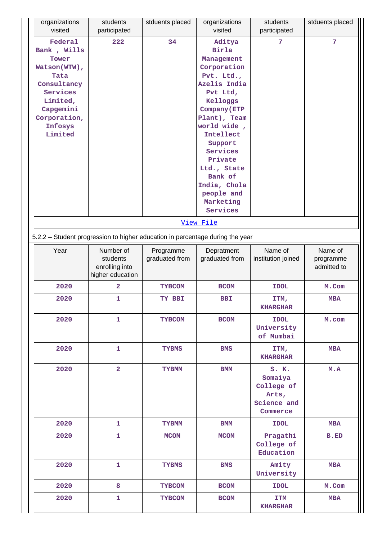| organizations<br>visited                                                                                                                          | students<br>participated                                    | stduents placed             | organizations<br>visited                                                                                                                                                                                                                                                          | students<br>participated                                           | stduents placed                     |
|---------------------------------------------------------------------------------------------------------------------------------------------------|-------------------------------------------------------------|-----------------------------|-----------------------------------------------------------------------------------------------------------------------------------------------------------------------------------------------------------------------------------------------------------------------------------|--------------------------------------------------------------------|-------------------------------------|
| Federal<br>Bank, Wills<br>Tower<br>Watson(WTW),<br>Tata<br>Consultancy<br>Services<br>Limited,<br>Capgemini<br>Corporation,<br>Infosys<br>Limited | 222                                                         | 34                          | Aditya<br>Birla<br>Management<br>Corporation<br>Pvt. Ltd.,<br>Azelis India<br>Pvt Ltd,<br>Kelloggs<br>Company (ETP<br>Plant), Team<br>world wide,<br>Intellect<br>Support<br>Services<br>Private<br>Ltd., State<br>Bank of<br>India, Chola<br>people and<br>Marketing<br>Services | 7                                                                  | 7                                   |
|                                                                                                                                                   |                                                             |                             | View File                                                                                                                                                                                                                                                                         |                                                                    |                                     |
| 5.2.2 - Student progression to higher education in percentage during the year                                                                     |                                                             |                             |                                                                                                                                                                                                                                                                                   |                                                                    |                                     |
| Year                                                                                                                                              | Number of<br>students<br>enrolling into<br>higher education | Programme<br>graduated from | Depratment<br>graduated from                                                                                                                                                                                                                                                      | Name of<br>institution joined                                      | Name of<br>programme<br>admitted to |
| 2020                                                                                                                                              | 2                                                           | <b>TYBCOM</b>               | <b>BCOM</b>                                                                                                                                                                                                                                                                       | <b>IDOL</b>                                                        | M.Com                               |
| 2020                                                                                                                                              | 1                                                           | TY BBI                      | <b>BBI</b>                                                                                                                                                                                                                                                                        | ITM,<br><b>KHARGHAR</b>                                            | <b>MBA</b>                          |
| 2020                                                                                                                                              | $\mathbf{1}$                                                | <b>TYBCOM</b>               | <b>BCOM</b>                                                                                                                                                                                                                                                                       | <b>IDOL</b><br>University<br>of Mumbai                             | M.com                               |
| 2020                                                                                                                                              | $\mathbf{1}$                                                | <b>TYBMS</b>                | <b>BMS</b>                                                                                                                                                                                                                                                                        | ITM,<br><b>KHARGHAR</b>                                            | <b>MBA</b>                          |
| 2020                                                                                                                                              | $\overline{a}$                                              | <b>TYBMM</b>                | <b>BMM</b>                                                                                                                                                                                                                                                                        | S. K.<br>Somaiya<br>College of<br>Arts,<br>Science and<br>Commerce | M.A                                 |
| 2020                                                                                                                                              | $\mathbf{1}$                                                | <b>TYBMM</b>                | $_{\rm BMM}$                                                                                                                                                                                                                                                                      | <b>IDOL</b>                                                        | <b>MBA</b>                          |
| 2020                                                                                                                                              | $\mathbf{1}$                                                | <b>MCOM</b>                 | <b>MCOM</b>                                                                                                                                                                                                                                                                       | Pragathi<br>College of<br>Education                                | <b>B.ED</b>                         |
| 2020                                                                                                                                              | $\mathbf{1}$                                                | <b>TYBMS</b>                | <b>BMS</b>                                                                                                                                                                                                                                                                        | Amity<br>University                                                | <b>MBA</b>                          |
| 2020                                                                                                                                              | 8                                                           | <b>TYBCOM</b>               | <b>BCOM</b>                                                                                                                                                                                                                                                                       | <b>IDOL</b>                                                        | M.Com                               |
| 2020                                                                                                                                              | $\mathbf{1}$                                                | <b>TYBCOM</b>               | <b>BCOM</b>                                                                                                                                                                                                                                                                       | <b>ITM</b><br><b>KHARGHAR</b>                                      | <b>MBA</b>                          |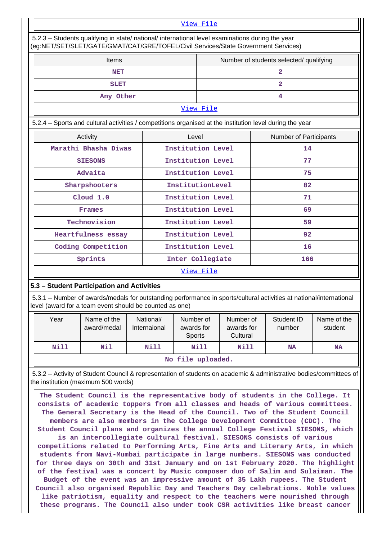#### [View File](https://assessmentonline.naac.gov.in/public/Postacc/Progression/9924_Progression_1618485956.xlsx)

| 5.2.3 – Students qualifying in state/ national/ international level examinations during the year |  |
|--------------------------------------------------------------------------------------------------|--|
| (eg:NET/SET/SLET/GATE/GMAT/CAT/GRE/TOFEL/Civil Services/State Government Services)               |  |

| \og \= :/0= :/0== :/0/\:1=/0}\:1=/0}\://0/\:1/0}\:1_/0}\==/0}\:10}\00}\0\&\009\0\&\00}\0\?\:11}\0\11}\0\11} |       |                                         |                        |  |  |  |
|-------------------------------------------------------------------------------------------------------------|-------|-----------------------------------------|------------------------|--|--|--|
| <b>Items</b>                                                                                                |       | Number of students selected/ qualifying |                        |  |  |  |
| <b>NET</b>                                                                                                  |       | $\overline{2}$                          |                        |  |  |  |
| <b>SLET</b>                                                                                                 |       |                                         | $\overline{2}$         |  |  |  |
| Any Other                                                                                                   |       |                                         | 4                      |  |  |  |
|                                                                                                             |       | View File                               |                        |  |  |  |
| 5.2.4 - Sports and cultural activities / competitions organised at the institution level during the year    |       |                                         |                        |  |  |  |
| Activity                                                                                                    | Level |                                         | Number of Participants |  |  |  |
| Marathi Bhasha Diwas                                                                                        |       | Institution Level                       | 14                     |  |  |  |
| <b>SIESONS</b>                                                                                              |       | Institution Level                       | 77                     |  |  |  |
| Advaita                                                                                                     |       | Institution Level                       | 75                     |  |  |  |
| Sharpshooters                                                                                               |       | InstitutionLevel                        | 82                     |  |  |  |
| Cloud 1.0                                                                                                   |       | Institution Level                       | 71                     |  |  |  |
| Frames                                                                                                      |       | Institution Level                       | 69                     |  |  |  |
| Technovision                                                                                                |       | Institution Level                       | 59                     |  |  |  |
| Heartfulness essay                                                                                          |       | Institution Level                       | 92                     |  |  |  |
| Coding Competition                                                                                          |       | Institution Level                       | 16                     |  |  |  |
| Sprints                                                                                                     |       | Inter Collegiate                        | 166                    |  |  |  |
| View File                                                                                                   |       |                                         |                        |  |  |  |

## **5.3 – Student Participation and Activities**

 5.3.1 – Number of awards/medals for outstanding performance in sports/cultural activities at national/international level (award for a team event should be counted as one)

| Year                                                   | Name of the<br>award/medal | National/<br>Internaional | Number of<br>awards for<br><b>Sports</b> | Number of<br>awards for<br>Cultural | Student ID<br>number | Name of the<br>student |  |  |  |
|--------------------------------------------------------|----------------------------|---------------------------|------------------------------------------|-------------------------------------|----------------------|------------------------|--|--|--|
| Nil<br>Nill<br>Nill<br>Nill<br>Nill<br><b>NA</b><br>NA |                            |                           |                                          |                                     |                      |                        |  |  |  |
| No file uploaded.                                      |                            |                           |                                          |                                     |                      |                        |  |  |  |

 5.3.2 – Activity of Student Council & representation of students on academic & administrative bodies/committees of the institution (maximum 500 words)

 **The Student Council is the representative body of students in the College. It consists of academic toppers from all classes and heads of various committees. The General Secretary is the Head of the Council. Two of the Student Council members are also members in the College Development Committee (CDC). The Student Council plans and organizes the annual College Festival SIESONS, which is an intercollegiate cultural festival. SIESONS consists of various competitions related to Performing Arts, Fine Arts and Literary Arts, in which students from Navi-Mumbai participate in large numbers. SIESONS was conducted for three days on 30th and 31st January and on 1st February 2020. The highlight of the festival was a concert by Music composer duo of Salim and Sulaiman. The Budget of the event was an impressive amount of 35 Lakh rupees. The Student Council also organised Republic Day and Teachers Day celebrations. Noble values like patriotism, equality and respect to the teachers were nourished through these programs. The Council also under took CSR activities like breast cancer**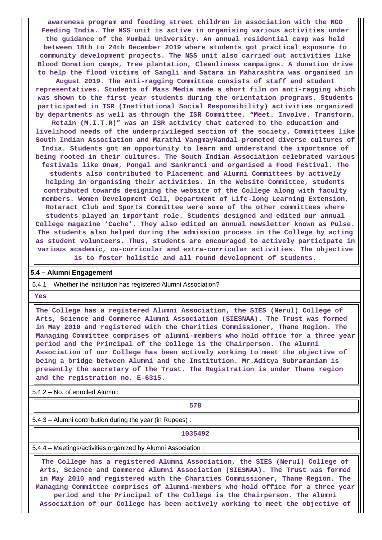**awareness program and feeding street children in association with the NGO Feeding India. The NSS unit is active in organising various activities under the guidance of the Mumbai University. An annual residential camp was held between 18th to 24th December 2019 where students got practical exposure to community development projects. The NSS unit also carried out activities like Blood Donation camps, Tree plantation, Cleanliness campaigns. A donation drive to help the flood victims of Sangli and Satara in Maharashtra was organised in**

**August 2019. The Anti-ragging Committee consists of staff and student representatives. Students of Mass Media made a short film on anti-ragging which was shown to the first year students during the orientation programs. Students participated in ISR (Institutional Social Responsibility) activities organized by departments as well as through the ISR Committee. "Meet. Involve. Transform.**

**Retain (M.I.T.R)" was an ISR activity that catered to the education and livelihood needs of the underprivileged section of the society. Committees like South Indian Association and Marathi VangmayMandal promoted diverse cultures of India. Students got an opportunity to learn and understand the importance of being rooted in their cultures. The South Indian Association celebrated various**

**festivals like Onam, Pongal and Sankranti and organised a Food Festival. The students also contributed to Placement and Alumni Committees by actively helping in organising their activities. In the Website Committee, students contributed towards designing the website of the College along with faculty members. Women Development Cell, Department of Life-long Learning Extension, Rotaract Club and Sports Committee were some of the other committees where students played an important role. Students designed and edited our annual College magazine 'Cache'. They also edited an annual newsletter known as Pulse. The students also helped during the admission process in the College by acting as student volunteers. Thus, students are encouraged to actively participate in various academic, co-curricular and extra-curricular activities. The objective is to foster holistic and all round development of students.**

#### **5.4 – Alumni Engagement**

5.4.1 – Whether the institution has registered Alumni Association?

 **Yes**

 **The College has a registered Alumni Association, the SIES (Nerul) College of Arts, Science and Commerce Alumni Association (SIESNAA). The Trust was formed in May 2010 and registered with the Charities Commissioner, Thane Region. The Managing Committee comprises of alumni-members who hold office for a three year period and the Principal of the College is the Chairperson. The Alumni Association of our College has been actively working to meet the objective of being a bridge between Alumni and the Institution. Mr.Aditya Subramaniam is presently the secretary of the Trust. The Registration is under Thane region and the registration no. E-6315.**

5.4.2 – No. of enrolled Alumni:

## **1**

5.4.3 – Alumni contribution during the year (in Rupees) :

#### **1035492**

5.4.4 – Meetings/activities organized by Alumni Association :

 **The College has a registered Alumni Association, the SIES (Nerul) College of Arts, Science and Commerce Alumni Association (SIESNAA). The Trust was formed in May 2010 and registered with the Charities Commissioner, Thane Region. The Managing Committee comprises of alumni-members who hold office for a three year period and the Principal of the College is the Chairperson. The Alumni Association of our College has been actively working to meet the objective of**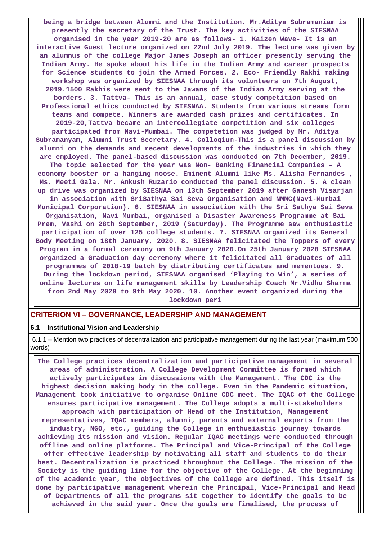**being a bridge between Alumni and the Institution. Mr.Aditya Subramaniam is presently the secretary of the Trust. The key activities of the SIESNAA organised in the year 2019-20 are as follows- 1. Kaizen Wave- It is an interactive Guest lecture organized on 22nd July 2019. The lecture was given by an alumnus of the college Major James Joseph an officer presently serving the Indian Army. He spoke about his life in the Indian Army and career prospects for Science students to join the Armed Forces. 2. Eco- Friendly Rakhi making workshop was organized by SIESNAA through its volunteers on 7th August, 2019.1500 Rakhis were sent to the Jawans of the Indian Army serving at the borders. 3. Tattva- This is an annual, case study competition based on Professional ethics conducted by SIESNAA. Students from various streams form teams and compete. Winners are awarded cash prizes and certificates. In 2019-20,Tattva became an intercollegiate competition and six colleges participated from Navi-Mumbai. The competetion was judged by Mr. Aditya Subramanyam, Alumni Trust Secretary. 4. Colloqium-This is a panel discussion by alumni on the demands and recent developments of the industries in which they are employed. The panel-based discussion was conducted on 7th December, 2019. The topic selected for the year was Non- Banking Financial Companies – A economy booster or a hanging noose. Eminent Alumni like Ms. Alisha Fernandes , Ms. Meeti Gala. Mr. Ankush Ruzario conducted the panel discussion. 5. A clean up drive was organized by SIESNAA on 13th September 2019 after Ganesh Visarjan in association with SriSathya Sai Seva Organisation and NMMC(Navi-Mumbai Municipal Corporation). 6. SIESNAA in association with the Sri Sathya Sai Seva Organisation, Navi Mumbai, organised a Disaster Awareness Programme at Sai Prem, Vashi on 28th September, 2019 (Saturday). The Programme saw enthusiastic participation of over 125 college students. 7. SIESNAA organized its General Body Meeting on 18th January, 2020. 8. SIESNAA felicitated the Toppers of every Program in a formal ceremony on 9th January 2020.On 25th January 2020 SIESNAA organized a Graduation day ceremony where it felicitated all Graduates of all programmes of 2018-19 batch by distributing certificates and mementoes. 9. During the lockdown period, SIESNAA organised 'Playing to Win', a series of online lectures on life management skills by Leadership Coach Mr.Vidhu Sharma from 2nd May 2020 to 9th May 2020. 10. Another event organized during the lockdown peri**

#### **CRITERION VI – GOVERNANCE, LEADERSHIP AND MANAGEMENT**

#### **6.1 – Institutional Vision and Leadership**

 6.1.1 – Mention two practices of decentralization and participative management during the last year (maximum 500 words)

 **The College practices decentralization and participative management in several areas of administration. A College Development Committee is formed which actively participates in discussions with the Management. The CDC is the highest decision making body in the college. Even in the Pandemic situation, Management took initiative to organise Online CDC meet. The IQAC of the College ensures participative management. The College adopts a multi-stakeholders approach with participation of Head of the Institution, Management representatives, IQAC members, alumni, parents and external experts from the industry, NGO, etc., guiding the College in enthusiastic journey towards achieving its mission and vision. Regular IQAC meetings were conducted through offline and online platforms. The Principal and Vice-Principal of the College offer effective leadership by motivating all staff and students to do their best. Decentralization is practiced throughout the College. The mission of the Society is the guiding line for the objective of the College. At the beginning of the academic year, the objectives of the College are defined. This itself is done by participative management wherein the Principal, Vice-Principal and Head of Departments of all the programs sit together to identify the goals to be achieved in the said year. Once the goals are finalised, the process of**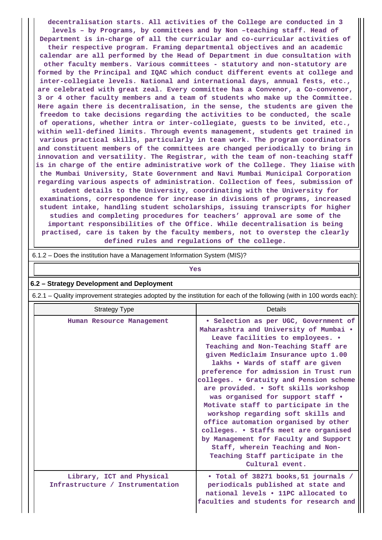**decentralisation starts. All activities of the College are conducted in 3 levels – by Programs, by committees and by Non –teaching staff. Head of Department is in-charge of all the curricular and co-curricular activities of their respective program. Framing departmental objectives and an academic calendar are all performed by the Head of Department in due consultation with other faculty members. Various committees - statutory and non-statutory are formed by the Principal and IQAC which conduct different events at college and inter-collegiate levels. National and international days, annual fests, etc., are celebrated with great zeal. Every committee has a Convenor, a Co-convenor, 3 or 4 other faculty members and a team of students who make up the Committee. Here again there is decentralisation, in the sense, the students are given the freedom to take decisions regarding the activities to be conducted, the scale of operations, whether intra or inter-collegiate, guests to be invited, etc., within well-defined limits. Through events management, students get trained in various practical skills, particularly in team work. The program coordinators and constituent members of the committees are changed periodically to bring in innovation and versatility. The Registrar, with the team of non-teaching staff is in charge of the entire administrative work of the College. They liaise with the Mumbai University, State Government and Navi Mumbai Municipal Corporation regarding various aspects of administration. Collection of fees, submission of student details to the University, coordinating with the University for examinations, correspondence for increase in divisions of programs, increased student intake, handling student scholarships, issuing transcripts for higher studies and completing procedures for teachers' approval are some of the important responsibilities of the Office. While decentralisation is being practised, care is taken by the faculty members, not to overstep the clearly defined rules and regulations of the college.**

| 6.1.2 – Does the institution have a Management Information System (MIS)?                                              |                                                                                                                                                                                                                                                                                                                                                                                                                                                                                                                                                                                                                                                                                                            |  |  |  |  |  |
|-----------------------------------------------------------------------------------------------------------------------|------------------------------------------------------------------------------------------------------------------------------------------------------------------------------------------------------------------------------------------------------------------------------------------------------------------------------------------------------------------------------------------------------------------------------------------------------------------------------------------------------------------------------------------------------------------------------------------------------------------------------------------------------------------------------------------------------------|--|--|--|--|--|
| Yes                                                                                                                   |                                                                                                                                                                                                                                                                                                                                                                                                                                                                                                                                                                                                                                                                                                            |  |  |  |  |  |
| 6.2 - Strategy Development and Deployment                                                                             |                                                                                                                                                                                                                                                                                                                                                                                                                                                                                                                                                                                                                                                                                                            |  |  |  |  |  |
| 6.2.1 - Quality improvement strategies adopted by the institution for each of the following (with in 100 words each): |                                                                                                                                                                                                                                                                                                                                                                                                                                                                                                                                                                                                                                                                                                            |  |  |  |  |  |
| <b>Strategy Type</b>                                                                                                  | <b>Details</b>                                                                                                                                                                                                                                                                                                                                                                                                                                                                                                                                                                                                                                                                                             |  |  |  |  |  |
| Human Resource Management                                                                                             | · Selection as per UGC, Government of<br>Maharashtra and University of Mumbai .<br>Leave facilities to employees. .<br>Teaching and Non-Teaching Staff are<br>given Mediclaim Insurance upto 1.00<br>lakhs . Wards of staff are given<br>preference for admission in Trust run<br>colleges. • Gratuity and Pension scheme<br>are provided. • Soft skills workshop<br>was organised for support staff .<br>Motivate staff to participate in the<br>workshop regarding soft skills and<br>office automation organised by other<br>colleges. • Staffs meet are organised<br>by Management for Faculty and Support<br>Staff, wherein Teaching and Non-<br>Teaching Staff participate in the<br>Cultural event. |  |  |  |  |  |
| Library, ICT and Physical<br>Infrastructure / Instrumentation                                                         | . Total of 38271 books, 51 journals /<br>periodicals published at state and<br>national levels . 11PC allocated to<br>faculties and students for research and                                                                                                                                                                                                                                                                                                                                                                                                                                                                                                                                              |  |  |  |  |  |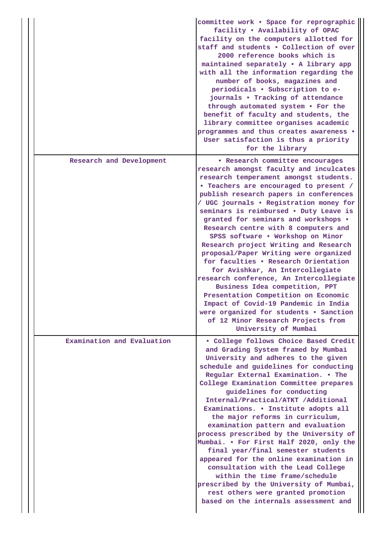|                            | committee work . Space for reprographic<br>facility . Availability of OPAC<br>facility on the computers allotted for<br>staff and students . Collection of over<br>2000 reference books which is<br>maintained separately . A library app<br>with all the information regarding the<br>number of books, magazines and<br>periodicals . Subscription to e-<br>journals . Tracking of attendance<br>through automated system . For the<br>benefit of faculty and students, the<br>library committee organises academic<br>programmes and thus creates awareness .<br>User satisfaction is thus a priority<br>for the library                                                                                                                                                                                                                            |
|----------------------------|-------------------------------------------------------------------------------------------------------------------------------------------------------------------------------------------------------------------------------------------------------------------------------------------------------------------------------------------------------------------------------------------------------------------------------------------------------------------------------------------------------------------------------------------------------------------------------------------------------------------------------------------------------------------------------------------------------------------------------------------------------------------------------------------------------------------------------------------------------|
| Research and Development   | · Research committee encourages<br>research amongst faculty and inculcates<br>research temperament amongst students.<br>. Teachers are encouraged to present /<br>publish research papers in conferences<br>/ UGC journals . Registration money for<br>seminars is reimbursed . Duty Leave is<br>granted for seminars and workshops .<br>Research centre with 8 computers and<br>SPSS software . Workshop on Minor<br>Research project Writing and Research<br>proposal/Paper Writing were organized<br>for faculties . Research Orientation<br>for Avishkar, An Intercollegiate<br>research conference, An Intercollegiate<br>Business Idea competition, PPT<br>Presentation Competition on Economic<br>Impact of Covid-19 Pandemic in India<br>were organized for students • Sanction<br>of 12 Minor Research Projects from<br>University of Mumbai |
| Examination and Evaluation | . College follows Choice Based Credit<br>and Grading System framed by Mumbai<br>University and adheres to the given<br>schedule and guidelines for conducting<br>Regular External Examination. . The<br>College Examination Committee prepares<br>guidelines for conducting<br>Internal/Practical/ATKT /Additional<br>Examinations. . Institute adopts all<br>the major reforms in curriculum,<br>examination pattern and evaluation<br>process prescribed by the University of<br>Mumbai. • For First Half 2020, only the<br>final year/final semester students<br>appeared for the online examination in<br>consultation with the Lead College<br>within the time frame/schedule<br>prescribed by the University of Mumbai,<br>rest others were granted promotion<br>based on the internals assessment and                                          |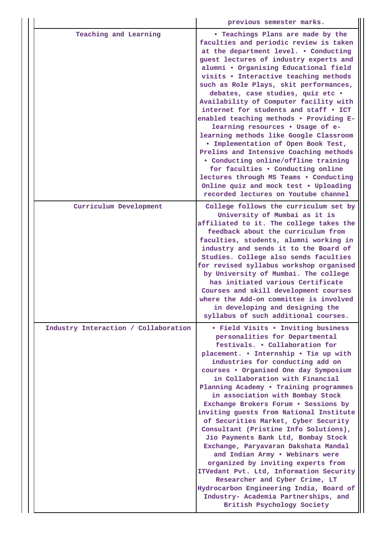|  |                                      | previous semester marks.                                                                                                                                                                                                                                                                                                                                                                                                                                                                                                                                                                                                                                                                                                                                                                                                                                                |
|--|--------------------------------------|-------------------------------------------------------------------------------------------------------------------------------------------------------------------------------------------------------------------------------------------------------------------------------------------------------------------------------------------------------------------------------------------------------------------------------------------------------------------------------------------------------------------------------------------------------------------------------------------------------------------------------------------------------------------------------------------------------------------------------------------------------------------------------------------------------------------------------------------------------------------------|
|  | Teaching and Learning                | • Teachings Plans are made by the<br>faculties and periodic review is taken<br>at the department level. . Conducting<br>guest lectures of industry experts and<br>alumni . Organising Educational field<br>visits . Interactive teaching methods<br>such as Role Plays, skit performances,<br>debates, case studies, quiz etc .<br>Availability of Computer facility with<br>internet for students and staff • ICT<br>enabled teaching methods . Providing E-<br>learning resources . Usage of e-<br>learning methods like Google Classroom<br>. Implementation of Open Book Test,<br>Prelims and Intensive Coaching methods<br>• Conducting online/offline training<br>for faculties . Conducting online<br>lectures through MS Teams . Conducting<br>Online quiz and mock test . Uploading<br>recorded lectures on Youtube channel                                    |
|  | Curriculum Development               | College follows the curriculum set by<br>University of Mumbai as it is<br>affiliated to it. The college takes the<br>feedback about the curriculum from<br>faculties, students, alumni working in<br>industry and sends it to the Board of<br>Studies. College also sends faculties<br>for revised syllabus workshop organised<br>by University of Mumbai. The college<br>has initiated various Certificate<br>Courses and skill development courses<br>where the Add-on committee is involved<br>in developing and designing the<br>syllabus of such additional courses.                                                                                                                                                                                                                                                                                               |
|  | Industry Interaction / Collaboration | • Field Visits • Inviting business<br>personalities for Departmental<br>festivals. . Collaboration for<br>placement. . Internship . Tie up with<br>industries for conducting add on<br>courses . Organised One day Symposium<br>in Collaboration with Financial<br>Planning Academy . Training programmes<br>in association with Bombay Stock<br>Exchange Brokers Forum . Sessions by<br>inviting guests from National Institute<br>of Securities Market, Cyber Security<br>Consultant (Pristine Info Solutions),<br>Jio Payments Bank Ltd, Bombay Stock<br>Exchange, Paryavaran Dakshata Mandal<br>and Indian Army . Webinars were<br>organized by inviting experts from<br>ITVedant Pvt. Ltd, Information Security<br>Researcher and Cyber Crime, LT<br>Hydrocarbon Engineering India, Board of<br>Industry- Academia Partnerships, and<br>British Psychology Society |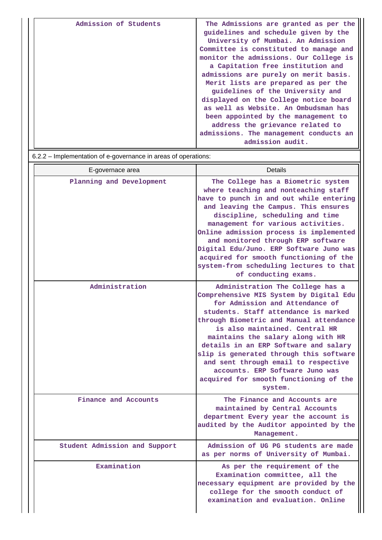| Admission of Students | The Admissions are granted as per the<br>guidelines and schedule given by the<br>University of Mumbai. An Admission<br>Committee is constituted to manage and<br>monitor the admissions. Our College is<br>a Capitation free institution and<br>admissions are purely on merit basis.<br>Merit lists are prepared as per the<br>guidelines of the University and<br>displayed on the College notice board<br>as well as Website. An Ombudsman has<br>been appointed by the management to<br>address the grievance related to<br>admissions. The management conducts an |
|-----------------------|------------------------------------------------------------------------------------------------------------------------------------------------------------------------------------------------------------------------------------------------------------------------------------------------------------------------------------------------------------------------------------------------------------------------------------------------------------------------------------------------------------------------------------------------------------------------|
|                       | admission audit.                                                                                                                                                                                                                                                                                                                                                                                                                                                                                                                                                       |

6.2.2 – Implementation of e-governance in areas of operations:

| E-governace area              | Details                                                                                                                                                                                                                                                                                                                                                                                                                                                                                       |
|-------------------------------|-----------------------------------------------------------------------------------------------------------------------------------------------------------------------------------------------------------------------------------------------------------------------------------------------------------------------------------------------------------------------------------------------------------------------------------------------------------------------------------------------|
| Planning and Development      | The College has a Biometric system<br>where teaching and nonteaching staff<br>have to punch in and out while entering<br>and leaving the Campus. This ensures<br>discipline, scheduling and time<br>management for various activities.<br>Online admission process is implemented<br>and monitored through ERP software<br>Digital Edu/Juno. ERP Software Juno was<br>acquired for smooth functioning of the<br>system-from scheduling lectures to that<br>of conducting exams.               |
| Administration                | Administration The College has a<br>Comprehensive MIS System by Digital Edu<br>for Admission and Attendance of<br>students. Staff attendance is marked<br>through Biometric and Manual attendance<br>is also maintained. Central HR<br>maintains the salary along with HR<br>details in an ERP Software and salary<br>slip is generated through this software<br>and sent through email to respective<br>accounts. ERP Software Juno was<br>acquired for smooth functioning of the<br>system. |
| Finance and Accounts          | The Finance and Accounts are<br>maintained by Central Accounts<br>department Every year the account is<br>audited by the Auditor appointed by the<br>Management.                                                                                                                                                                                                                                                                                                                              |
| Student Admission and Support | Admission of UG PG students are made<br>as per norms of University of Mumbai.                                                                                                                                                                                                                                                                                                                                                                                                                 |
| Examination                   | As per the requirement of the<br>Examination committee, all the<br>necessary equipment are provided by the<br>college for the smooth conduct of<br>examination and evaluation. Online                                                                                                                                                                                                                                                                                                         |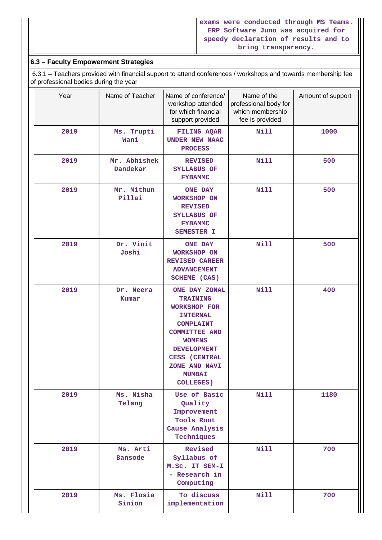## **6.3 – Faculty Empowerment Strategies**

 6.3.1 – Teachers provided with financial support to attend conferences / workshops and towards membership fee of professional bodies during the year

| Year | Name of Teacher          | Name of conference/<br>workshop attended<br>for which financial<br>support provided                                                                                                                                                         | Name of the<br>professional body for<br>which membership<br>fee is provided | Amount of support |
|------|--------------------------|---------------------------------------------------------------------------------------------------------------------------------------------------------------------------------------------------------------------------------------------|-----------------------------------------------------------------------------|-------------------|
| 2019 | Ms. Trupti<br>Wani       | FILING AQAR<br><b>UNDER NEW NAAC</b><br><b>PROCESS</b>                                                                                                                                                                                      | Nill                                                                        | 1000              |
| 2019 | Mr. Abhishek<br>Dandekar | <b>REVISED</b><br>SYLLABUS OF<br><b>FYBAMMC</b>                                                                                                                                                                                             | Nill                                                                        | 500               |
| 2019 | Mr. Mithun<br>Pillai     | <b>ONE DAY</b><br>WORKSHOP ON<br><b>REVISED</b><br>SYLLABUS OF<br><b>FYBAMMC</b><br>SEMESTER I                                                                                                                                              | <b>Nill</b>                                                                 | 500               |
| 2019 | Dr. Vinit<br>Joshi       | <b>ONE DAY</b><br><b>WORKSHOP ON</b><br><b>REVISED CAREER</b><br><b>ADVANCEMENT</b><br>SCHEME (CAS)                                                                                                                                         | Nill                                                                        | 500               |
| 2019 | Dr. Neera<br>Kumar       | ONE DAY ZONAL<br><b>TRAINING</b><br><b>WORKSHOP FOR</b><br><b>INTERNAL</b><br><b>COMPLAINT</b><br><b>COMMITTEE AND</b><br><b>WOMENS</b><br><b>DEVELOPMENT</b><br><b>CESS (CENTRAL</b><br>ZONE AND NAVI<br><b>MUMBAI</b><br><b>COLLEGES)</b> | <b>Nill</b>                                                                 | 400               |
| 2019 | Ms. Nisha<br>Telang      | Use of Basic<br>Quality<br>Improvement<br><b>Tools Root</b><br>Cause Analysis<br>Techniques                                                                                                                                                 | <b>Nill</b>                                                                 | 1180              |
| 2019 | Ms. Arti<br>Bansode      | Revised<br>Syllabus of<br>M.Sc. IT SEM-I<br>- Research in<br>Computing                                                                                                                                                                      | <b>Nill</b>                                                                 | 700               |
| 2019 | Ms. Flosia<br>Sinion     | To discuss<br>implementation                                                                                                                                                                                                                | <b>Nill</b>                                                                 | 700               |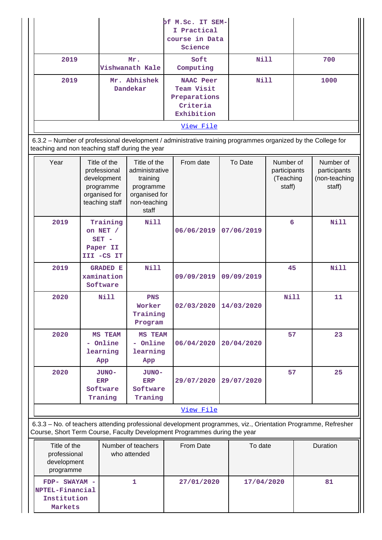|           |                          | of M.Sc. IT SEM-<br>I Practical<br>course in Data<br>Science      |             |      |  |
|-----------|--------------------------|-------------------------------------------------------------------|-------------|------|--|
| 2019      | Mr.<br>Vishwanath Kale   | Soft<br>Computing                                                 | Nill        | 700  |  |
| 2019      | Mr. Abhishek<br>Dandekar | NAAC Peer<br>Team Visit<br>Preparations<br>Criteria<br>Exhibition | <b>Nill</b> | 1000 |  |
| View File |                          |                                                                   |             |      |  |

 6.3.2 – Number of professional development / administrative training programmes organized by the College for teaching and non teaching staff during the year

| Year      | Title of the<br>professional<br>development<br>programme<br>organised for<br>teaching staff | Title of the<br>administrative<br>training<br>programme<br>organised for<br>non-teaching<br>staff | From date  | To Date    | Number of<br>participants<br>(Teaching<br>staff) | Number of<br>participants<br>(non-teaching<br>staff) |
|-----------|---------------------------------------------------------------------------------------------|---------------------------------------------------------------------------------------------------|------------|------------|--------------------------------------------------|------------------------------------------------------|
| 2019      | Training<br>on NET /<br>$SET -$<br>Paper II<br>III -CS IT                                   | Nill                                                                                              | 06/06/2019 | 07/06/2019 | 6                                                | <b>Nill</b>                                          |
| 2019      | <b>GRADED E</b><br>xamination<br>Software                                                   | Nill                                                                                              | 09/09/2019 | 09/09/2019 | 45                                               | Nill                                                 |
| 2020      | Nill                                                                                        | <b>PNS</b><br>Worker<br>Training<br>Program                                                       | 02/03/2020 | 14/03/2020 | <b>Nill</b>                                      | 11                                                   |
| 2020      | MS TEAM<br>- Online<br>learning<br>App                                                      | <b>MS TEAM</b><br>- Online<br>learning<br>App                                                     | 06/04/2020 | 20/04/2020 | 57                                               | 23                                                   |
| 2020      | JUNO-<br><b>ERP</b><br>Software<br>Traning                                                  | JUNO-<br><b>ERP</b><br>Software<br>Traning                                                        | 29/07/2020 | 29/07/2020 | 57                                               | 25                                                   |
| View File |                                                                                             |                                                                                                   |            |            |                                                  |                                                      |

 6.3.3 – No. of teachers attending professional development programmes, viz., Orientation Programme, Refresher Course, Short Term Course, Faculty Development Programmes during the year

| Title of the<br>professional<br>development<br>programme     | Number of teachers<br>who attended | <b>From Date</b> | To date    | Duration |
|--------------------------------------------------------------|------------------------------------|------------------|------------|----------|
| $FDP- SWAYAM -$<br>NPTEL-Financial<br>Institution<br>Markets |                                    | 27/01/2020       | 17/04/2020 | 81       |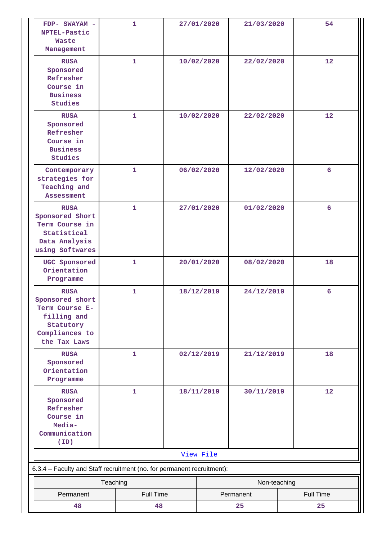| FDP- SWAYAM -<br>NPTEL-Pastic<br><b>Waste</b><br>Management                                                    |                          | $\mathbf{1}$ |  | 27/01/2020 | 21/03/2020 | 54        |  |
|----------------------------------------------------------------------------------------------------------------|--------------------------|--------------|--|------------|------------|-----------|--|
| <b>RUSA</b><br>Sponsored<br>Refresher<br>Course in<br><b>Business</b><br>Studies                               |                          | 1            |  | 10/02/2020 | 22/02/2020 | 12        |  |
| <b>RUSA</b><br>Sponsored<br>Refresher<br>Course in<br><b>Business</b><br>Studies                               |                          | 1            |  | 10/02/2020 | 22/02/2020 | 12        |  |
| Contemporary<br>strategies for<br>Teaching and<br>Assessment                                                   |                          | 1            |  | 06/02/2020 | 12/02/2020 | 6         |  |
| <b>RUSA</b><br>Sponsored Short<br>Term Course in<br>Statistical<br>Data Analysis<br>using Softwares            |                          | 1            |  | 27/01/2020 | 01/02/2020 | 6         |  |
| UGC Sponsored<br>Orientation<br>Programme                                                                      |                          | 1            |  | 20/01/2020 | 08/02/2020 | 18        |  |
| <b>RUSA</b><br>Sponsored short<br>Term Course E-<br>filling and<br>Statutory<br>Compliances to<br>the Tax Laws |                          | $\mathbf{1}$ |  | 18/12/2019 | 24/12/2019 | 6         |  |
| <b>RUSA</b><br>Sponsored<br>Orientation<br>Programme                                                           |                          | 1            |  | 02/12/2019 | 21/12/2019 | 18        |  |
| <b>RUSA</b><br>Sponsored<br>Refresher<br>Course in<br>Media-<br>Communication<br>(ID)                          |                          | $\mathbf{1}$ |  | 18/11/2019 | 30/11/2019 | 12        |  |
|                                                                                                                | View File                |              |  |            |            |           |  |
| 6.3.4 - Faculty and Staff recruitment (no. for permanent recruitment):                                         |                          |              |  |            |            |           |  |
|                                                                                                                | Non-teaching<br>Teaching |              |  |            |            |           |  |
| Permanent                                                                                                      |                          | Full Time    |  |            | Permanent  | Full Time |  |
| 48                                                                                                             |                          | 48           |  |            | 25         | 25        |  |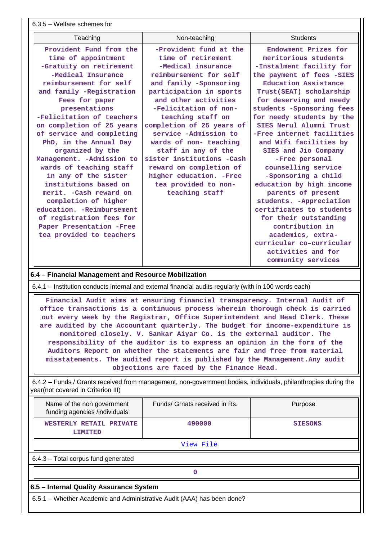6.3.5 – Welfare schemes for

| Teaching                                       | Non-teaching                                 | <b>Students</b>                              |
|------------------------------------------------|----------------------------------------------|----------------------------------------------|
| Provident Fund from the<br>time of appointment | -Provident fund at the<br>time of retirement | Endowment Prizes for<br>meritorious students |
| -Gratuity on retirement                        | -Medical insurance                           | -Instalment facility for                     |
| -Medical Insurance                             | reimbursement for self                       | the payment of fees -SIES                    |
| reimbursement for self                         | and family -Sponsoring                       | Education Assistance                         |
| and family -Registration                       | participation in sports                      | Trust(SEAT) scholarship                      |
| Fees for paper                                 | and other activities                         | for deserving and needy                      |
| presentations                                  | -Felicitation of non-                        | students -Sponsoring fees                    |
| -Felicitation of teachers                      | teaching staff on                            | for needy students by the                    |
| on completion of 25 years                      | completion of 25 years of                    | SIES Nerul Alumni Trust                      |
| of service and completing                      | service -Admission to                        | -Free internet facilities                    |
| PhD, in the Annual Day                         | wards of non- teaching                       | and Wifi facilities by                       |
| organized by the                               | staff in any of the                          | SIES and Jio Company                         |
| Management. - Admission to                     | sister institutions -Cash                    | -Free personal                               |
| wards of teaching staff                        | reward on completion of                      | counselling service                          |
| in any of the sister                           | higher education. - Free                     | -Sponsoring a child                          |
| institutions based on                          | tea provided to non-                         | education by high income                     |
| merit. - Cash reward on                        | teaching staff                               | parents of present                           |
| completion of higher                           |                                              | students. - Appreciation                     |
| education, -Reimbursement                      |                                              | certificates to students                     |
| of registration fees for                       |                                              | for their outstanding                        |
| Paper Presentation -Free                       |                                              | contribution in                              |
| tea provided to teachers                       |                                              | academics, extra-                            |
|                                                |                                              | curricular co-curricular                     |
|                                                |                                              | activities and for                           |
|                                                |                                              | community services                           |

## **6.4 – Financial Management and Resource Mobilization**

6.4.1 – Institution conducts internal and external financial audits regularly (with in 100 words each)

 **Financial Audit aims at ensuring financial transparency. Internal Audit of office transactions is a continuous process wherein thorough check is carried out every week by the Registrar, Office Superintendent and Head Clerk. These are audited by the Accountant quarterly. The budget for income-expenditure is monitored closely. V. Sankar Aiyar Co. is the external auditor. The responsibility of the auditor is to express an opinion in the form of the Auditors Report on whether the statements are fair and free from material misstatements. The audited report is published by the Management.Any audit objections are faced by the Finance Head.**

 6.4.2 – Funds / Grants received from management, non-government bodies, individuals, philanthropies during the year(not covered in Criterion III)

| Name of the non government<br>funding agencies /individuals            | Funds/ Grnats received in Rs. | Purpose        |  |  |  |
|------------------------------------------------------------------------|-------------------------------|----------------|--|--|--|
| WESTERLY RETAIL PRIVATE<br>LIMITED                                     | 490000                        | <b>SIESONS</b> |  |  |  |
|                                                                        | View File                     |                |  |  |  |
| 6.4.3 - Total corpus fund generated                                    |                               |                |  |  |  |
| 0                                                                      |                               |                |  |  |  |
| 6.5 - Internal Quality Assurance System                                |                               |                |  |  |  |
| 6.5.1 – Whether Academic and Administrative Audit (AAA) has been done? |                               |                |  |  |  |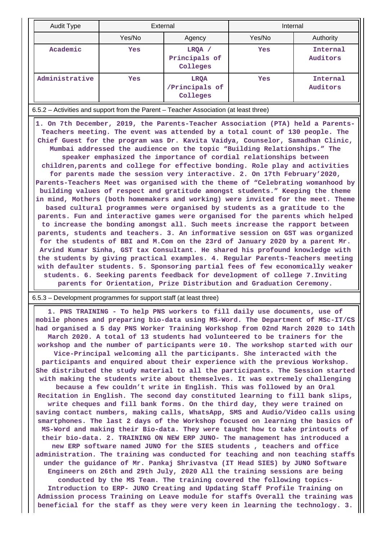| <b>Audit Type</b>                                                                     |        | External                                  |        | Internal                    |  |  |
|---------------------------------------------------------------------------------------|--------|-------------------------------------------|--------|-----------------------------|--|--|
|                                                                                       | Yes/No | Agency                                    | Yes/No | Authority                   |  |  |
| Academic                                                                              | Yes    | LRQA /<br>Principals of<br>Colleges       | Yes    | <b>Internal</b><br>Auditors |  |  |
| Administrative                                                                        | Yes    | <b>LROA</b><br>/Principals of<br>Colleges | Yes    | Internal<br>Auditors        |  |  |
| 6.5.2 - Activities and support from the Parent - Teacher Association (at least three) |        |                                           |        |                             |  |  |
|                                                                                       |        |                                           |        |                             |  |  |

 **1. On 7th December, 2019, the Parents-Teacher Association (PTA) held a Parents-Teachers meeting. The event was attended by a total count of 130 people. The Chief Guest for the program was Dr. Kavita Vaidya, Counselor, Samadhan Clinic, Mumbai addressed the audience on the topic "Building Relationships." The speaker emphasized the importance of cordial relationships between children,parents and college for effective bonding. Role play and activities for parents made the session very interactive. 2. On 17th February'2020, Parents-Teachers Meet was organised with the theme of "Celebrating womanhood by building values of respect and gratitude amongst students." Keeping the theme in mind, Mothers (both homemakers and working) were invited for the meet. Theme based cultural programmes were organised by students as a gratitude to the parents. Fun and interactive games were organised for the parents which helped to increase the bonding amongst all. Such meets increase the rapport between parents, students and teachers. 3. An informative session on GST was organized for the students of BBI and M.Com on the 23rd of January 2020 by a parent Mr. Arvind Kumar Sinha, GST tax Consultant. He shared his profound knowledge with the students by giving practical examples. 4. Regular Parents-Teachers meeting with defaulter students. 5. Sponsoring partial fees of few economically weaker students. 6. Seeking parents feedback for development of college 7.Inviting parents for Orientation, Prize Distribution and Graduation Ceremony.**

#### 6.5.3 – Development programmes for support staff (at least three)

 **1. PNS TRAINING - To help PNS workers to fill daily use documents, use of mobile phones and preparing bio-data using MS-Word. The Department of MSc-IT/CS had organised a 5 day PNS Worker Training Workshop from 02nd March 2020 to 14th March 2020. A total of 13 students had volunteered to be trainers for the workshop and the number of participants were 10. The workshop started with our Vice-Principal welcoming all the participants. She interacted with the participants and enquired about their experience with the previous Workshop. She distributed the study material to all the participants. The Session started with making the students write about themselves. It was extremely challenging because a few couldn't write in English. This was followed by an Oral Recitation in English. The second day constituted learning to fill bank slips, write cheques and fill bank forms. On the third day, they were trained on saving contact numbers, making calls, WhatsApp, SMS and Audio/Video calls using smartphones. The last 2 days of the Workshop focused on learning the basics of MS-Word and making their Bio-data. They were taught how to take printouts of their bio-data. 2. TRAINING ON NEW ERP JUNO- The management has introduced a new ERP software named JUNO for the SIES students , teachers and office administration. The training was conducted for teaching and non teaching staffs under the guidance of Mr. Pankaj Shrivastva (IT Head SIES) by JUNO Software Engineers on 26th and 29th July, 2020 All the training sessions are being conducted by the MS Team. The training covered the following topics-Introduction to ERP- JUNO Creating and Updating Staff Profile Training on Admission process Training on Leave module for staffs Overall the training was beneficial for the staff as they were very keen in learning the technology. 3.**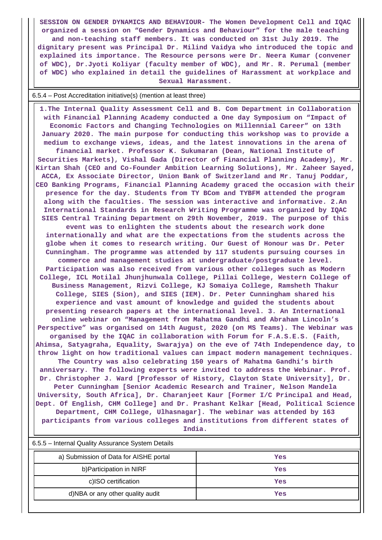**SESSION ON GENDER DYNAMICS AND BEHAVIOUR- The Women Development Cell and IQAC organized a session on "Gender Dynamics and Behaviour" for the male teaching and non-teaching staff members. It was conducted on 31st July 2019. The dignitary present was Principal Dr. Milind Vaidya who introduced the topic and explained its importance. The Resource persons were Dr. Neera Kumar (convener of WDC), Dr.Jyoti Koliyar (faculty member of WDC), and Mr. R. Perumal (member of WDC) who explained in detail the guidelines of Harassment at workplace and Sexual Harassment.**

#### 6.5.4 – Post Accreditation initiative(s) (mention at least three)

 **1.The Internal Quality Assessment Cell and B. Com Department in Collaboration with Financial Planning Academy conducted a One day Symposium on "Impact of Economic Factors and Changing Technologies on Millennial Career" on 13th January 2020. The main purpose for conducting this workshop was to provide a medium to exchange views, ideas, and the latest innovations in the arena of financial market. Professor K. Sukumaran (Dean, National Institute of Securities Markets), Vishal Gada (Director of Financial Planning Academy), Mr. Kirtan Shah (CEO and Co-Founder Ambition Learning Solutions), Mr. Zaheer Sayed, ACCA, Ex Associate Director, Union Bank of Switzerland and Mr. Tanuj Poddar, CEO Banking Programs, Financial Planning Academy graced the occasion with their presence for the day. Students from TY BCom and TYBFM attended the program along with the faculties. The session was interactive and informative. 2.An International Standards in Research Writing Programme was organized by IQAC SIES Central Training Department on 29th November, 2019. The purpose of this event was to enlighten the students about the research work done internationally and what are the expectations from the students across the globe when it comes to research writing. Our Guest of Honour was Dr. Peter Cunningham. The programme was attended by 117 students pursuing courses in commerce and management studies at undergraduate/postgraduate level. Participation was also received from various other colleges such as Modern College, ICL Motilal Jhunjhunwala College, Pillai College, Western College of Business Management, Rizvi College, KJ Somaiya College, Ramsheth Thakur College, SIES (Sion), and SIES (IEM). Dr. Peter Cunningham shared his experience and vast amount of knowledge and guided the students about presenting research papers at the international level. 3. An International online webinar on "Management from Mahatma Gandhi and Abraham Lincoln's Perspective" was organised on 14th August, 2020 (on MS Teams). The Webinar was organised by the IQAC in collaboration with Forum for F.A.S.E.S. (Faith, Ahimsa, Satyagraha, Equality, Swarajya) on the eve of 74th Independence day, to throw light on how traditional values can impact modern management techniques. The Country was also celebrating 150 years of Mahatma Gandhi's birth anniversary. The following experts were invited to address the Webinar. Prof. Dr. Christopher J. Ward [Professor of History, Clayton State University], Dr. Peter Cunningham [Senior Academic Research and Trainer, Nelson Mandela University, South Africa], Dr. Charanjeet Kaur [Former I/C Principal and Head, Dept. Of English, CHM College] and Dr. Prashant Kelkar [Head, Political Science Department, CHM College, Ulhasnagar]. The webinar was attended by 163 participants from various colleges and institutions from different states of India.**

| 6.5.5 – Internal Quality Assurance System Details |     |  |  |  |
|---------------------------------------------------|-----|--|--|--|
| a) Submission of Data for AISHE portal            | Yes |  |  |  |
| b) Participation in NIRF                          | Yes |  |  |  |
| c)ISO certification                               | Yes |  |  |  |
| d)NBA or any other quality audit                  | Yes |  |  |  |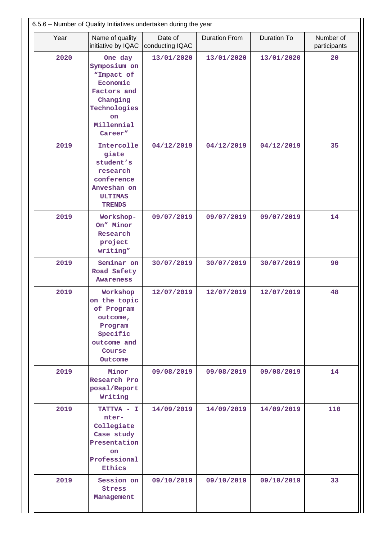|      | 6.5.6 - Number of Quality Initiatives undertaken during the year                                                                   |                            |                      |                    |                           |  |  |
|------|------------------------------------------------------------------------------------------------------------------------------------|----------------------------|----------------------|--------------------|---------------------------|--|--|
| Year | Name of quality<br>initiative by IQAC                                                                                              | Date of<br>conducting IQAC | <b>Duration From</b> | <b>Duration To</b> | Number of<br>participants |  |  |
| 2020 | One day<br>Symposium on<br>"Impact of<br>Economic<br>Factors and<br>Changing<br>Technologies<br><b>on</b><br>Millennial<br>Career" | 13/01/2020                 | 13/01/2020           | 13/01/2020         | 20                        |  |  |
| 2019 | Intercolle<br>giate<br>student's<br>research<br>conference<br>Anveshan on<br><b>ULTIMAS</b><br><b>TRENDS</b>                       | 04/12/2019                 | 04/12/2019           | 04/12/2019         | 35                        |  |  |
| 2019 | Workshop-<br>On" Minor<br>Research<br>project<br>writing"                                                                          | 09/07/2019                 | 09/07/2019           | 09/07/2019         | 14                        |  |  |
| 2019 | Seminar on<br>Road Safety<br><b>Awareness</b>                                                                                      | 30/07/2019                 | 30/07/2019           | 30/07/2019         | 90                        |  |  |
| 2019 | Workshop<br>on the topic<br>of Program<br>outcome,<br>Program<br>Specific<br>outcome and<br>Course<br>Outcome                      | 12/07/2019                 | 12/07/2019           | 12/07/2019         | 48                        |  |  |
| 2019 | Minor<br>Research Pro<br>posal/Report<br>Writing                                                                                   | 09/08/2019                 | 09/08/2019           | 09/08/2019         | 14                        |  |  |
| 2019 | TATTVA - I<br>nter-<br>Collegiate<br>Case study<br>Presentation<br><b>on</b><br>Professional<br><b>Ethics</b>                      | 14/09/2019                 | 14/09/2019           | 14/09/2019         | 110                       |  |  |
| 2019 | Session on<br><b>Stress</b><br>Management                                                                                          | 09/10/2019                 | 09/10/2019           | 09/10/2019         | 33                        |  |  |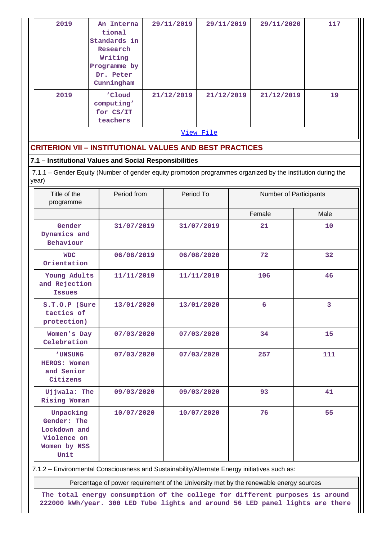| 2019                                                                            | An Interna<br>tional<br>Standards in<br>Research<br>Writing<br>Programme by<br>Dr. Peter<br>Cunningham      | 29/11/2019 | 29/11/2019 | 29/11/2020             | 117            |
|---------------------------------------------------------------------------------|-------------------------------------------------------------------------------------------------------------|------------|------------|------------------------|----------------|
| 2019                                                                            | 'Cloud<br>computing'<br>for CS/IT<br>teachers                                                               | 21/12/2019 | 21/12/2019 | 21/12/2019             | 19             |
|                                                                                 |                                                                                                             |            | View File  |                        |                |
|                                                                                 | <b>CRITERION VII - INSTITUTIONAL VALUES AND BEST PRACTICES</b>                                              |            |            |                        |                |
|                                                                                 | 7.1 - Institutional Values and Social Responsibilities                                                      |            |            |                        |                |
| year)                                                                           | 7.1.1 – Gender Equity (Number of gender equity promotion programmes organized by the institution during the |            |            |                        |                |
| Title of the<br>programme                                                       | Period from                                                                                                 | Period To  |            | Number of Participants |                |
|                                                                                 |                                                                                                             |            |            | Female                 | Male           |
| Gender<br>Dynamics and<br>Behaviour                                             | 31/07/2019                                                                                                  |            | 31/07/2019 | 21                     | 10             |
| <b>WDC</b><br>Orientation                                                       | 06/08/2019                                                                                                  |            | 06/08/2020 | 72                     | 32             |
| Young Adults<br>and Rejection<br><b>Issues</b>                                  | 11/11/2019                                                                                                  |            | 11/11/2019 | 106                    | 46             |
| S.T.O.P (Sure<br>tactics of<br>protection)                                      | 13/01/2020                                                                                                  |            | 13/01/2020 | 6 <sup>1</sup>         | 3 <sup>1</sup> |
| Women's Day<br>Celebration                                                      | 07/03/2020                                                                                                  |            | 07/03/2020 | 34                     | 15             |
| <b>'UNSUNG</b><br>HEROS: Women<br>and Senior<br>Citizens                        | 07/03/2020                                                                                                  |            | 07/03/2020 | 257                    | 111            |
| Ujjwala: The<br>Rising Woman                                                    | 09/03/2020                                                                                                  |            | 09/03/2020 | 93                     | 41             |
| Unpacking<br>Gender: The<br>Lockdown and<br>Violence on<br>Women by NSS<br>Unit | 10/07/2020                                                                                                  |            | 10/07/2020 | 76                     | 55             |

7.1.2 – Environmental Consciousness and Sustainability/Alternate Energy initiatives such as:

Percentage of power requirement of the University met by the renewable energy sources

**The total energy consumption of the college for different purposes is around 222000 kWh/year. 300 LED Tube lights and around 56 LED panel lights are there**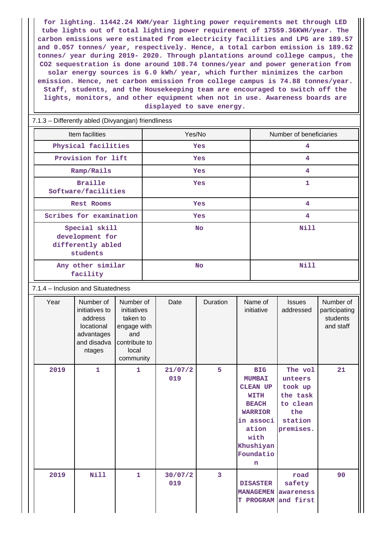**for lighting. 11442.24 KWH/year lighting power requirements met through LED tube lights out of total lighting power requirement of 17559.36KWH/year. The carbon emissions were estimated from electricity facilities and LPG are 189.57 and 0.057 tonnes/ year, respectively. Hence, a total carbon emission is 189.62 tonnes/ year during 2019- 2020. Through plantations around college campus, the CO2 sequestration is done around 108.74 tonnes/year and power generation from solar energy sources is 6.0 kWh/ year, which further minimizes the carbon emission. Hence, net carbon emission from college campus is 74.88 tonnes/year. Staff, students, and the Housekeeping team are encouraged to switch off the lights, monitors, and other equipment when not in use. Awareness boards are displayed to save energy.**

#### 7.1.3 – Differently abled (Divyangjan) friendliness

| Item facilities                                                   | Yes/No     | Number of beneficiaries |
|-------------------------------------------------------------------|------------|-------------------------|
| Physical facilities                                               | <b>Yes</b> | 4                       |
| Provision for lift                                                | <b>Yes</b> | 4                       |
| Ramp/Rails                                                        | Yes        | 4                       |
| <b>Braille</b><br>Software/facilities                             | <b>Yes</b> | 1                       |
| <b>Rest Rooms</b>                                                 | <b>Yes</b> | 4                       |
| Scribes for examination                                           | Yes        | 4                       |
| Special skill<br>development for<br>differently abled<br>students | <b>No</b>  | Nill                    |
| Any other similar<br>facility                                     | <b>No</b>  | Nill                    |

#### 7.1.4 – Inclusion and Situatedness

| Year | Number of<br>initiatives to<br>address<br>locational<br>advantages<br>and disadva<br>ntages | Number of<br>initiatives<br>taken to<br>engage with<br>and<br>contribute to<br>local<br>community | Date           | Duration | Name of<br>initiative                                                                                                                                 | <b>Issues</b><br>addressed                                                           | Number of<br>participating<br>students<br>and staff |
|------|---------------------------------------------------------------------------------------------|---------------------------------------------------------------------------------------------------|----------------|----------|-------------------------------------------------------------------------------------------------------------------------------------------------------|--------------------------------------------------------------------------------------|-----------------------------------------------------|
| 2019 | $\mathbf{1}$                                                                                | 1                                                                                                 | 21/07/2<br>019 | 5        | <b>BIG</b><br><b>MUMBAI</b><br><b>CLEAN UP</b><br>WITH<br><b>BEACH</b><br><b>WARRIOR</b><br>in associ<br>ation<br>with<br>Khushiyan<br>Foundatio<br>n | The vol<br>unteers<br>took up<br>the task<br>to clean<br>the<br>station<br>premises. | 21                                                  |
| 2019 | <b>Nill</b>                                                                                 | $\mathbf{1}$                                                                                      | 30/07/2<br>019 | 3        | <b>DISASTER</b><br><b>MANAGEMEN</b><br><b>T PROGRAM</b>                                                                                               | road<br>safety<br>awareness<br>and first                                             | 90                                                  |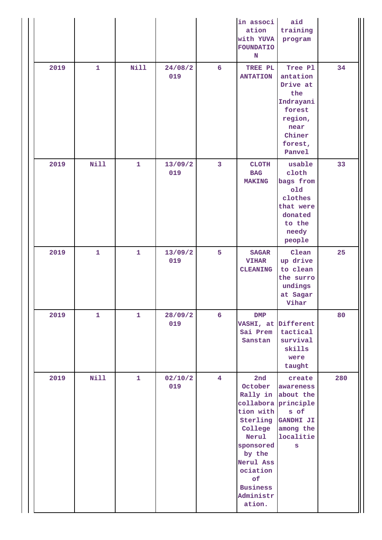|      |              |              |                |                 | in associ<br>ation<br>with YUVA<br>FOUNDATIO<br>N                                                                                               | aid<br>training<br>program                                                                                                    |     |
|------|--------------|--------------|----------------|-----------------|-------------------------------------------------------------------------------------------------------------------------------------------------|-------------------------------------------------------------------------------------------------------------------------------|-----|
| 2019 | $\mathbf{1}$ | <b>Nill</b>  | 24/08/2<br>019 | $6\overline{6}$ | TREE PL<br><b>ANTATION</b>                                                                                                                      | Tree Pl<br>antation<br>Drive at<br>the<br>Indrayani<br>forest<br>region,<br>near<br>Chiner<br>forest,<br>Panvel               | 34  |
| 2019 | Nill         | $\mathbf{1}$ | 13/09/2<br>019 | $\overline{3}$  | <b>CLOTH</b><br><b>BAG</b><br><b>MAKING</b>                                                                                                     | usable<br>cloth<br>bags from<br>old<br>clothes<br>that were<br>donated<br>to the<br>needy<br>people                           | 33  |
| 2019 | $\mathbf{1}$ | $\mathbf{1}$ | 13/09/2<br>019 | 5               | <b>SAGAR</b><br><b>VIHAR</b><br><b>CLEANING</b>                                                                                                 | Clean<br>up drive<br>to clean<br>the surro<br>undings<br>at Sagar<br>Vihar                                                    | 25  |
| 2019 | $\mathbf{1}$ | $\mathbf{1}$ | 28/09/2<br>019 | $6\overline{6}$ | DMP<br>Sanstan                                                                                                                                  | VASHI, at Different<br>Sai Prem tactical<br>survival<br>skills<br>were<br>taught                                              | 80  |
| 2019 | <b>Nill</b>  | $\mathbf{1}$ | 02/10/2<br>019 | $\overline{4}$  | 2nd<br>October<br>tion with<br>College<br>Nerul<br>sponsored<br>by the<br>Nerul Ass<br>ociation<br>of<br><b>Business</b><br>Administr<br>ation. | create<br>awareness<br>Rally in about the<br>collabora principle<br>s of<br>Sterling GANDHI JI<br>among the<br>localitie<br>S | 280 |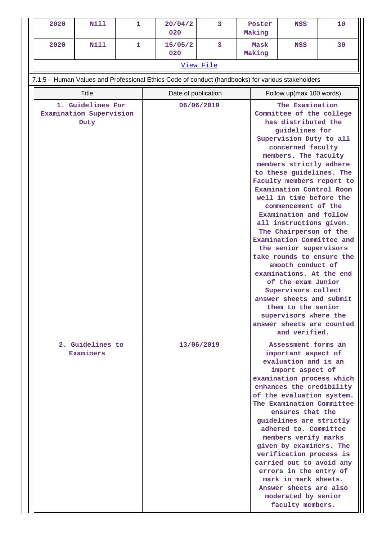| 2020                                                                     | Nill  | 1 | 20/04/2<br>020                                                                                    | 3          | Poster<br>Making | NSS                                                                                                                                                                                                                                                                                                                                                                                                                                                                                                                                                                                                                                                                                                                                                  | 10 |  |
|--------------------------------------------------------------------------|-------|---|---------------------------------------------------------------------------------------------------|------------|------------------|------------------------------------------------------------------------------------------------------------------------------------------------------------------------------------------------------------------------------------------------------------------------------------------------------------------------------------------------------------------------------------------------------------------------------------------------------------------------------------------------------------------------------------------------------------------------------------------------------------------------------------------------------------------------------------------------------------------------------------------------------|----|--|
| 2020                                                                     | Nill  | 1 | 15/05/2<br>020                                                                                    | 3          | Mask<br>Making   | <b>NSS</b>                                                                                                                                                                                                                                                                                                                                                                                                                                                                                                                                                                                                                                                                                                                                           | 30 |  |
|                                                                          |       |   |                                                                                                   | View File  |                  |                                                                                                                                                                                                                                                                                                                                                                                                                                                                                                                                                                                                                                                                                                                                                      |    |  |
|                                                                          |       |   | 7.1.5 - Human Values and Professional Ethics Code of conduct (handbooks) for various stakeholders |            |                  |                                                                                                                                                                                                                                                                                                                                                                                                                                                                                                                                                                                                                                                                                                                                                      |    |  |
|                                                                          | Title |   | Date of publication                                                                               |            |                  |                                                                                                                                                                                                                                                                                                                                                                                                                                                                                                                                                                                                                                                                                                                                                      |    |  |
| 1. Guidelines For<br>Examination Supervision<br>Duty<br>2. Guidelines to |       |   | 06/06/2019                                                                                        |            |                  | Follow up(max 100 words)<br>The Examination<br>Committee of the college<br>has distributed the<br>guidelines for<br>Supervision Duty to all<br>concerned faculty<br>members. The faculty<br>members strictly adhere<br>to these guidelines. The<br>Faculty members report to<br>Examination Control Room<br>well in time before the<br>commencement of the<br>Examination and follow<br>all instructions given.<br>The Chairperson of the<br>Examination Committee and<br>the senior supervisors<br>take rounds to ensure the<br>smooth conduct of<br>examinations. At the end<br>of the exam Junior<br>Supervisors collect<br>answer sheets and submit<br>them to the senior<br>supervisors where the<br>answer sheets are counted<br>and verified. |    |  |
| Examiners                                                                |       |   |                                                                                                   | 13/06/2019 |                  | Assessment forms an<br>important aspect of<br>evaluation and is an<br>import aspect of<br>examination process which<br>enhances the credibility<br>of the evaluation system.<br>The Examination Committee<br>ensures that the<br>guidelines are strictly<br>adhered to. Committee<br>members verify marks<br>given by examiners. The<br>verification process is<br>carried out to avoid any<br>errors in the entry of<br>mark in mark sheets.<br>Answer sheets are also<br>moderated by senior<br>faculty members.                                                                                                                                                                                                                                   |    |  |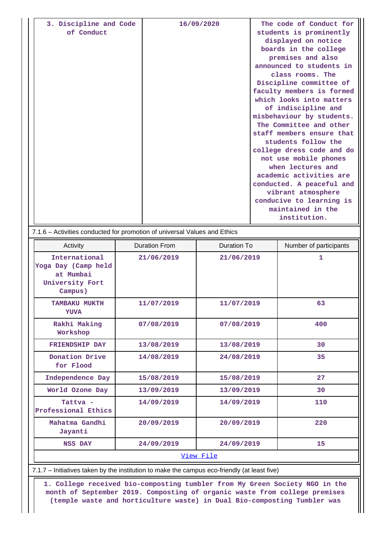| 3. Discipline and Code | 16/09/2020 | The code of Conduct for   |
|------------------------|------------|---------------------------|
| of Conduct             |            | students is prominently   |
|                        |            | displayed on notice       |
|                        |            | boards in the college     |
|                        |            | premises and also         |
|                        |            | announced to students in  |
|                        |            | class rooms. The          |
|                        |            | Discipline committee of   |
|                        |            | faculty members is formed |
|                        |            | which looks into matters  |
|                        |            | of indiscipline and       |
|                        |            | misbehaviour by students. |
|                        |            | The Committee and other   |
|                        |            | staff members ensure that |
|                        |            | students follow the       |
|                        |            | college dress code and do |
|                        |            | not use mobile phones     |
|                        |            | when lectures and         |
|                        |            | academic activities are   |
|                        |            | conducted. A peaceful and |
|                        |            | vibrant atmosphere        |
|                        |            | conducive to learning is  |
|                        |            | maintained in the         |
|                        |            | institution.              |

| Activity                                                                        | <b>Duration From</b> | <b>Duration To</b> | Number of participants |
|---------------------------------------------------------------------------------|----------------------|--------------------|------------------------|
| International<br>Yoga Day (Camp held<br>at Mumbai<br>University Fort<br>Campus) | 21/06/2019           |                    | 1                      |
| <b>TAMBAKU MUKTH</b><br><b>YUVA</b>                                             | 11/07/2019           | 11/07/2019         | 63                     |
| Rakhi Making<br>Workshop                                                        | 07/08/2019           | 07/08/2019         | 400                    |
| FRIENDSHIP DAY                                                                  | 13/08/2019           | 13/08/2019         | 30                     |
| Donation Drive<br>for Flood                                                     | 14/08/2019           | 24/08/2019         | 35                     |
| Independence Day                                                                | 15/08/2019           | 15/08/2019         | 27                     |
| World Ozone Day                                                                 | 13/09/2019           | 13/09/2019         | 30                     |
| Tattva -<br>Professional Ethics                                                 | 14/09/2019           | 14/09/2019         | 110                    |
| Mahatma Gandhi<br>Jayanti                                                       | 20/09/2019           | 20/09/2019         | 220                    |
| <b>NSS DAY</b>                                                                  | 24/09/2019           | 24/09/2019         | 15                     |

7.1.7 – Initiatives taken by the institution to make the campus eco-friendly (at least five)

 **1. College received bio-composting tumbler from My Green Society NGO in the month of September 2019. Composting of organic waste from college premises (temple waste and horticulture waste) in Dual Bio-composting Tumbler was**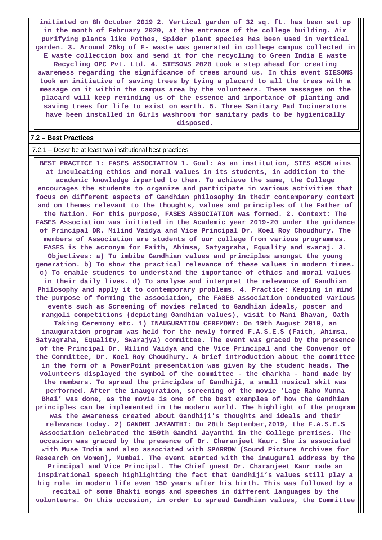**initiated on 8h October 2019 2. Vertical garden of 32 sq. ft. has been set up in the month of February 2020, at the entrance of the college building. Air purifying plants like Pothos, Spider plant species has been used in vertical garden. 3. Around 25kg of E- waste was generated in college campus collected in E waste collection box and send it for the recycling to Green India E waste Recycling OPC Pvt. Ltd. 4. SIESONS 2020 took a step ahead for creating awareness regarding the significance of trees around us. In this event SIESONS took an initiative of saving trees by tying a placard to all the trees with a message on it within the campus area by the volunteers. These messages on the placard will keep reminding us of the essence and importance of planting and saving trees for life to exist on earth. 5. Three Sanitary Pad Incinerators have been installed in Girls washroom for sanitary pads to be hygienically disposed.**

#### **7.2 – Best Practices**

7.2.1 – Describe at least two institutional best practices

 **BEST PRACTICE 1: FASES ASSOCIATION 1. Goal: As an institution, SIES ASCN aims at inculcating ethics and moral values in its students, in addition to the academic knowledge imparted to them. To achieve the same, the College encourages the students to organize and participate in various activities that focus on different aspects of Gandhian philosophy in their contemporary context and on themes relevant to the thoughts, values and principles of the Father of the Nation. For this purpose, FASES ASSOCIATION was formed. 2. Context: The FASES Association was initiated in the Academic year 2019-20 under the guidance of Principal DR. Milind Vaidya and Vice Principal Dr. Koel Roy Choudhury. The members of Association are students of our college from various programmes. FASES is the acronym for Faith, Ahimsa, Satyagraha, Equality and swaraj. 3. Objectives: a) To imbibe Gandhian values and principles amongst the young generation. b) To show the practical relevance of these values in modern times. c) To enable students to understand the importance of ethics and moral values in their daily lives. d) To analyse and interpret the relevance of Gandhian Philosophy and apply it to contemporary problems. 4. Practice: Keeping in mind the purpose of forming the association, the FASES association conducted various events such as Screening of movies related to Gandhian ideals, poster and rangoli competitions (depicting Gandhian values), visit to Mani Bhavan, Oath Taking Ceremony etc. 1) INAUGURATION CEREMONY: On 19th August 2019, an inauguration program was held for the newly formed F.A.S.E.S (Faith, Ahimsa, Satyagraha, Equality, Swarajya) committee. The event was graced by the presence of the Principal Dr. Milind Vaidya and the Vice Principal and the Convenor of the Committee, Dr. Koel Roy Choudhury. A brief introduction about the committee in the form of a PowerPoint presentation was given by the student heads. The volunteers displayed the symbol of the committee - the charkha - hand made by the members. To spread the principles of Gandhiji, a small musical skit was performed. After the inauguration, screening of the movie 'Lage Raho Munna Bhai' was done, as the movie is one of the best examples of how the Gandhian principles can be implemented in the modern world. The highlight of the program was the awareness created about Gandhiji's thoughts and ideals and their relevance today. 2) GANDHI JAYANTHI: On 20th September,2019, the F.A.S.E.S Association celebrated the 150th Gandhi Jayanthi in the College premises. The occasion was graced by the presence of Dr. Charanjeet Kaur. She is associated with Muse India and also associated with SPARROW (Sound Picture Archives for Research on Women), Mumbai. The event started with the inaugural address by the Principal and Vice Principal. The Chief guest Dr. Charanjeet Kaur made an inspirational speech highlighting the fact that Gandhiji's values still play a big role in modern life even 150 years after his birth. This was followed by a recital of some Bhakti songs and speeches in different languages by the volunteers. On this occasion, in order to spread Gandhian values, the Committee**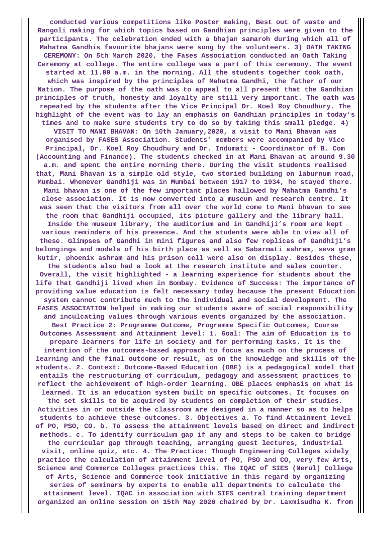**conducted various competitions like Poster making, Best out of waste and Rangoli making for which topics based on Gandhian principles were given to the participants. The celebration ended with a bhajan samaroh during which all of Mahatma Gandhis favourite bhajans were sung by the volunteers. 3) OATH TAKING CEREMONY: On 5th March 2020, the Fases Association conducted an Oath Taking Ceremony at college. The entire college was a part of this ceremony. The event started at 11.00 a.m. in the morning. All the students together took oath, which was inspired by the principles of Mahatma Gandhi, the father of our Nation. The purpose of the oath was to appeal to all present that the Gandhian principles of truth, honesty and loyalty are still very important. The oath was repeated by the students after the Vice Principal Dr. Koel Roy Choudhury. The highlight of the event was to lay an emphasis on Gandhian principles in today's times and to make sure students try to do so by taking this small pledge. 4) VISIT TO MANI BHAVAN: On 10th January,2020, a visit to Mani Bhavan was organised by FASES Association. Students' members were accompanied by Vice Principal, Dr. Koel Roy Choudhury and Dr. Indumati - Coordinator of B. Com (Accounting and Finance). The students checked in at Mani Bhavan at around 9.30 a.m. and spent the entire morning there. During the visit students realised that, Mani Bhavan is a simple old style, two storied building on laburnum road, Mumbai. Whenever Gandhiji was in Mumbai between 1917 to 1934, he stayed there. Mani bhavan is one of the few important places hallowed by Mahatma Gandhi's close association. It is now converted into a museum and research centre. It was seen that the visitors from all over the world come to Mani bhavan to see the room that Gandhiji occupied, its picture gallery and the library hall. Inside the museum library, the auditorium and in Gandhiji's room are kept various reminders of his presence. And the students were able to view all of these. Glimpses of Gandhi in mini figures and also few replicas of Gandhiji's belongings and models of his birth place as well as Sabarmati ashram, seva gram kutir, phoenix ashram and his prison cell were also on display. Besides these, the students also had a look at the research institute and sales counter. Overall, the visit highlighted - a learning experience for students about the life that Gandhiji lived when in Bombay. Evidence of Success: The importance of providing value education is felt necessary today because the present Education system cannot contribute much to the individual and social development. The FASES ASSOCIATION helped in making our students aware of social responsibility and inculcating values through various events organized by the association. Best Practice 2: Programme Outcome, Programme Specific Outcomes, Course Outcomes Assessment and Attainment level: 1. Goal: The aim of Education is to prepare learners for life in society and for performing tasks. It is the intention of the outcomes-based approach to focus as much on the process of learning and the final outcome or result, as on the knowledge and skills of the students. 2. Context: Outcome-Based Education (OBE) is a pedagogical model that entails the restructuring of curriculum, pedagogy and assessment practices to reflect the achievement of high-order learning. OBE places emphasis on what is learned. It is an education system built on specific outcomes. It focuses on the set skills to be acquired by students on completion of their studies. Activities in or outside the classroom are designed in a manner so as to helps students to achieve these outcomes. 3. Objectives a. To find Attainment level of PO, PSO, CO. b. To assess the attainment levels based on direct and indirect methods. c. To identify curriculum gap if any and steps to be taken to bridge the curricular gap through teaching, arranging guest lectures, industrial visit, online quiz, etc. 4. The Practice: Though Engineering Colleges widely practice the calculation of attainment level of PO, PSO and CO, very few Arts, Science and Commerce Colleges practices this. The IQAC of SIES (Nerul) College of Arts, Science and Commerce took initiative in this regard by organizing series of seminars by experts to enable all departments to calculate the attainment level. IQAC in association with SIES central training department organized an online session on 15th May 2020 chaired by Dr. Laxmisudha K. from**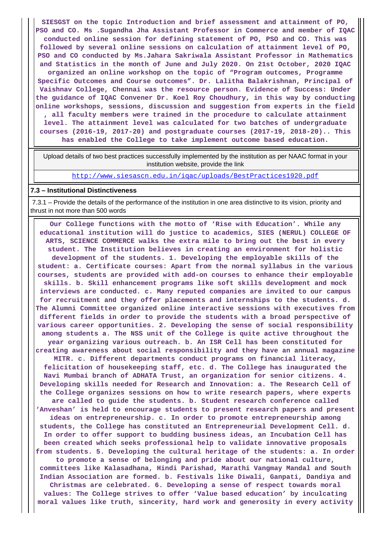**SIESGST on the topic Introduction and brief assessment and attainment of PO, PSO and CO. Ms .Sugandha Jha Assistant Professor in Commerce and member of IQAC conducted online session for defining statement of PO, PSO and CO. This was followed by several online sessions on calculation of attainment level of PO, PSO and CO conducted by Ms.Jahara Sakriwala Assistant Professor in Mathematics and Statistics in the month of June and July 2020. On 21st October, 2020 IQAC organized an online workshop on the topic of "Program outcomes, Programme Specific Outcomes and Course outcomes". Dr. Lalitha Balakrishnan, Principal of Vaishnav College, Chennai was the resource person. Evidence of Success: Under the guidance of IQAC Convener Dr. Koel Roy Choudhury, in this way by conducting online workshops, sessions, discussion and suggestion from experts in the field , all faculty members were trained in the procedure to calculate attainment level. The attainment level was calculated for two batches of undergraduate courses (2016-19, 2017-20) and postgraduate courses (2017-19, 2018-20).. This has enabled the College to take implement outcome based education.**

 Upload details of two best practices successfully implemented by the institution as per NAAC format in your institution website, provide the link

<http://www.siesascn.edu.in/iqac/uploads/BestPractices1920.pdf>

#### **7.3 – Institutional Distinctiveness**

 7.3.1 – Provide the details of the performance of the institution in one area distinctive to its vision, priority and thrust in not more than 500 words

 **Our College functions with the motto of 'Rise with Education'. While any educational institution will do justice to academics, SIES (NERUL) COLLEGE OF ARTS, SCIENCE COMMERCE walks the extra mile to bring out the best in every student. The Institution believes in creating an environment for holistic development of the students. 1. Developing the employable skills of the student: a. Certificate courses: Apart from the normal syllabus in the various courses, students are provided with add-on courses to enhance their employable skills. b. Skill enhancement programs like soft skills development and mock interviews are conducted. c. Many reputed companies are invited to our campus for recruitment and they offer placements and internships to the students. d. The Alumni Committee organized online interactive sessions with executives from different fields in order to provide the students with a broad perspective of various career opportunities. 2. Developing the sense of social responsibility among students a. The NSS unit of the College is quite active throughout the year organizing various outreach. b. An ISR Cell has been constituted for creating awareness about social responsibility and they have an annual magazine MITR. c. Different departments conduct programs on financial literacy, felicitation of housekeeping staff, etc. d. The College has inaugurated the Navi Mumbai branch of ADHATA Trust, an organization for senior citizens. 4. Developing skills needed for Research and Innovation: a. The Research Cell of the College organizes sessions on how to write research papers, where experts are called to guide the students. b. Student research conference called 'Anveshan' is held to encourage students to present research papers and present ideas on entrepreneurship. c. In order to promote entrepreneurship among students, the College has constituted an Entrepreneurial Development Cell. d. In order to offer support to budding business ideas, an Incubation Cell has been created which seeks professional help to validate innovative proposals from students. 5. Developing the cultural heritage of the students: a. In order to promote a sense of belonging and pride about our national culture, committees like Kalasadhana, Hindi Parishad, Marathi Vangmay Mandal and South Indian Association are formed. b. Festivals like Diwali, Ganpati, Dandiya and Christmas are celebrated. 6. Developing a sense of respect towards moral values: The College strives to offer 'Value based education' by inculcating moral values like truth, sincerity, hard work and generosity in every activity**